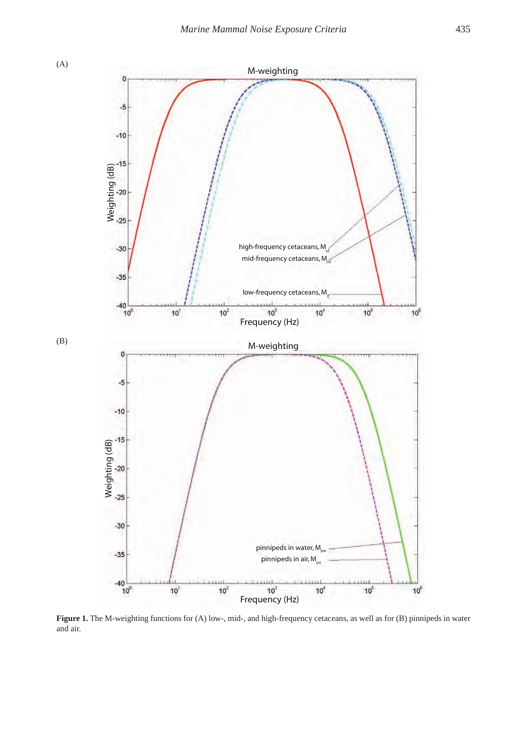



Figure 1. The M-weighting functions for (A) low-, mid-, and high-frequency cetaceans, as well as for (B) pinnipeds in water and air.

 $\mathbf{0}$ 

(B)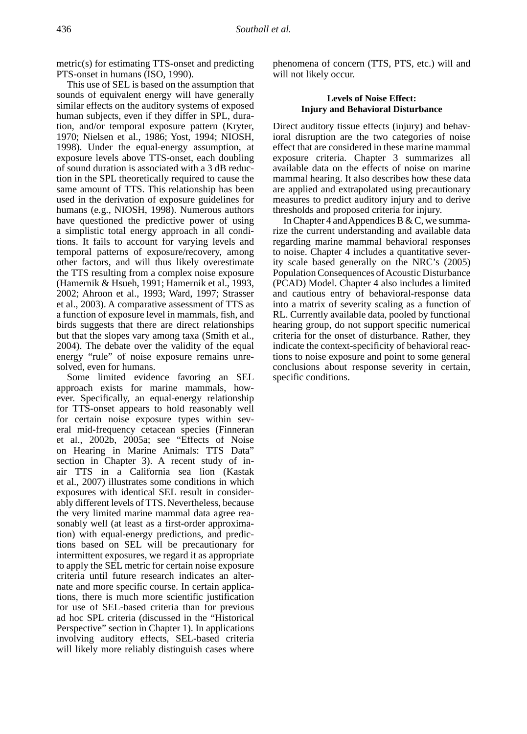metric(s) for estimating TTS-onset and predicting PTS-onset in humans (ISO, 1990).

This use of SEL is based on the assumption that sounds of equivalent energy will have generally similar effects on the auditory systems of exposed human subjects, even if they differ in SPL, duration, and/or temporal exposure pattern (Kryter, 1970; Nielsen et al., 1986; Yost, 1994; NIOSH, 1998). Under the equal-energy assumption, at exposure levels above TTS-onset, each doubling of sound duration is associated with a 3 dB reduction in the SPL theoretically required to cause the same amount of TTS. This relationship has been used in the derivation of exposure guidelines for humans (e.g., NIOSH, 1998). Numerous authors have questioned the predictive power of using a simplistic total energy approach in all conditions. It fails to account for varying levels and temporal patterns of exposure/recovery, among other factors, and will thus likely overestimate the TTS resulting from a complex noise exposure (Hamernik & Hsueh, 1991; Hamernik et al., 1993, 2002; Ahroon et al., 1993; Ward, 1997; Strasser et al., 2003). A comparative assessment of TTS as a function of exposure level in mammals, fish, and birds suggests that there are direct relationships but that the slopes vary among taxa (Smith et al., 2004). The debate over the validity of the equal energy "rule" of noise exposure remains unresolved, even for humans.

Some limited evidence favoring an SEL approach exists for marine mammals, however. Specifically, an equal-energy relationship for TTS-onset appears to hold reasonably well for certain noise exposure types within several mid-frequency cetacean species (Finneran et al., 2002b, 2005a; see "Effects of Noise on Hearing in Marine Animals: TTS Data" section in Chapter 3). A recent study of inair TTS in a California sea lion (Kastak et al., 2007) illustrates some conditions in which exposures with identical SEL result in considerably different levels of TTS. Nevertheless, because the very limited marine mammal data agree reasonably well (at least as a first-order approximation) with equal-energy predictions, and predictions based on SEL will be precautionary for intermittent exposures, we regard it as appropriate to apply the SEL metric for certain noise exposure criteria until future research indicates an alternate and more specific course. In certain applications, there is much more scientific justification for use of SEL-based criteria than for previous ad hoc SPL criteria (discussed in the "Historical Perspective" section in Chapter 1). In applications involving auditory effects, SEL-based criteria will likely more reliably distinguish cases where

phenomena of concern (TTS, PTS, etc.) will and will not likely occur.

## **Levels of Noise Effect: Injury and Behavioral Disturbance**

Direct auditory tissue effects (injury) and behavioral disruption are the two categories of noise effect that are considered in these marine mammal exposure criteria. Chapter 3 summarizes all available data on the effects of noise on marine mammal hearing. It also describes how these data are applied and extrapolated using precautionary measures to predict auditory injury and to derive thresholds and proposed criteria for injury.

In Chapter 4 and Appendices B & C, we summarize the current understanding and available data regarding marine mammal behavioral responses to noise. Chapter 4 includes a quantitative severity scale based generally on the NRC's (2005) Population Consequences of Acoustic Disturbance (PCAD) Model. Chapter 4 also includes a limited and cautious entry of behavioral-response data into a matrix of severity scaling as a function of RL. Currently available data, pooled by functional hearing group, do not support specific numerical criteria for the onset of disturbance. Rather, they indicate the context-specificity of behavioral reactions to noise exposure and point to some general conclusions about response severity in certain, specific conditions.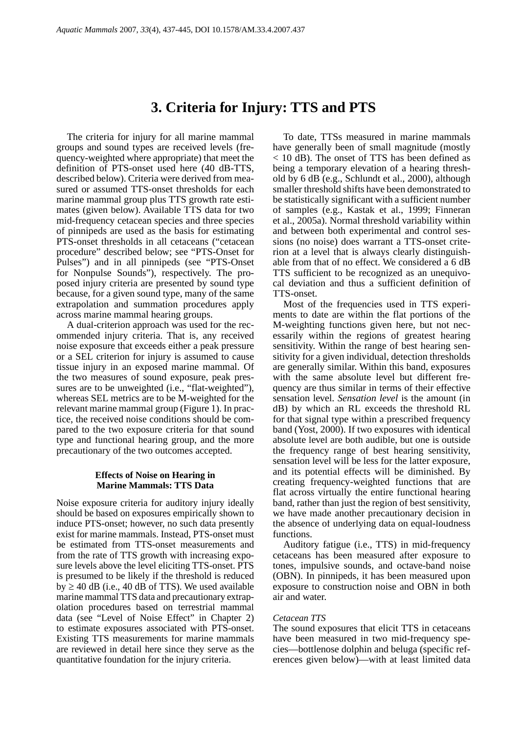# **3. Criteria for Injury: TTS and PTS**

The criteria for injury for all marine mammal groups and sound types are received levels (frequency-weighted where appropriate) that meet the definition of PTS-onset used here (40 dB-TTS, described below). Criteria were derived from measured or assumed TTS-onset thresholds for each marine mammal group plus TTS growth rate estimates (given below). Available TTS data for two mid-frequency cetacean species and three species of pinnipeds are used as the basis for estimating PTS-onset thresholds in all cetaceans ("cetacean procedure" described below; see "PTS-Onset for Pulses") and in all pinnipeds (see "PTS-Onset for Nonpulse Sounds"), respectively. The proposed injury criteria are presented by sound type because, for a given sound type, many of the same extrapolation and summation procedures apply across marine mammal hearing groups.

A dual-criterion approach was used for the recommended injury criteria. That is, any received noise exposure that exceeds either a peak pressure or a SEL criterion for injury is assumed to cause tissue injury in an exposed marine mammal. Of the two measures of sound exposure, peak pressures are to be unweighted (i.e., "flat-weighted"), whereas SEL metrics are to be M-weighted for the relevant marine mammal group (Figure 1). In practice, the received noise conditions should be compared to the two exposure criteria for that sound type and functional hearing group, and the more precautionary of the two outcomes accepted.

## **Effects of Noise on Hearing in Marine Mammals: TTS Data**

Noise exposure criteria for auditory injury ideally should be based on exposures empirically shown to induce PTS-onset; however, no such data presently exist for marine mammals. Instead, PTS-onset must be estimated from TTS-onset measurements and from the rate of TTS growth with increasing exposure levels above the level eliciting TTS-onset. PTS is presumed to be likely if the threshold is reduced  $by \geq 40$  dB (i.e., 40 dB of TTS). We used available marine mammal TTS data and precautionary extrapolation procedures based on terrestrial mammal data (see "Level of Noise Effect" in Chapter 2) to estimate exposures associated with PTS-onset. Existing TTS measurements for marine mammals are reviewed in detail here since they serve as the quantitative foundation for the injury criteria.

To date, TTSs measured in marine mammals have generally been of small magnitude (mostly < 10 dB). The onset of TTS has been defined as being a temporary elevation of a hearing threshold by 6 dB (e.g., Schlundt et al., 2000), although smaller threshold shifts have been demonstrated to be statistically significant with a sufficient number of samples (e.g., Kastak et al., 1999; Finneran et al., 2005a). Normal threshold variability within and between both experimental and control sessions (no noise) does warrant a TTS-onset criterion at a level that is always clearly distinguishable from that of no effect. We considered a 6 dB TTS sufficient to be recognized as an unequivocal deviation and thus a sufficient definition of TTS-onset.

Most of the frequencies used in TTS experiments to date are within the flat portions of the M-weighting functions given here, but not necessarily within the regions of greatest hearing sensitivity. Within the range of best hearing sensitivity for a given individual, detection thresholds are generally similar. Within this band, exposures with the same absolute level but different frequency are thus similar in terms of their effective sensation level. *Sensation level* is the amount (in dB) by which an RL exceeds the threshold RL for that signal type within a prescribed frequency band (Yost, 2000). If two exposures with identical absolute level are both audible, but one is outside the frequency range of best hearing sensitivity, sensation level will be less for the latter exposure, and its potential effects will be diminished. By creating frequency-weighted functions that are flat across virtually the entire functional hearing band, rather than just the region of best sensitivity, we have made another precautionary decision in the absence of underlying data on equal-loudness functions.

Auditory fatigue (i.e., TTS) in mid-frequency cetaceans has been measured after exposure to tones, impulsive sounds, and octave-band noise (OBN). In pinnipeds, it has been measured upon exposure to construction noise and OBN in both air and water.

## *Cetacean TTS*

The sound exposures that elicit TTS in cetaceans have been measured in two mid-frequency species—bottlenose dolphin and beluga (specific references given below)—with at least limited data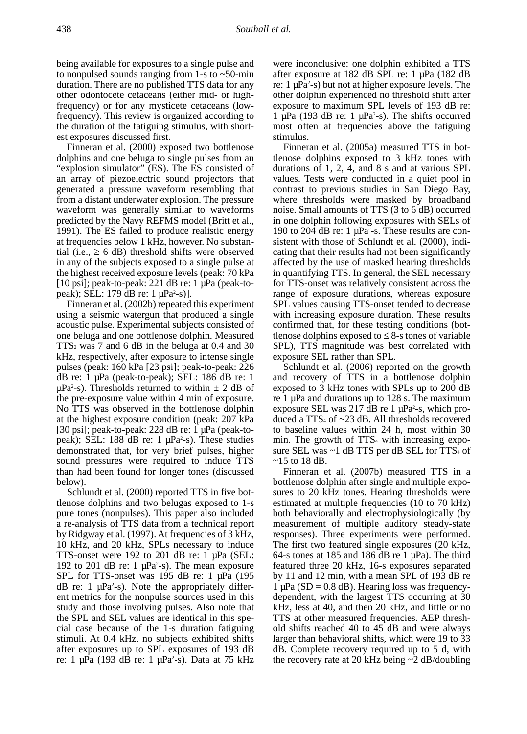being available for exposures to a single pulse and to nonpulsed sounds ranging from 1-s to ~50-min duration. There are no published TTS data for any other odontocete cetaceans (either mid- or highfrequency) or for any mysticete cetaceans (lowfrequency). This review is organized according to the duration of the fatiguing stimulus, with shortest exposures discussed first.

Finneran et al. (2000) exposed two bottlenose dolphins and one beluga to single pulses from an "explosion simulator" (ES). The ES consisted of an array of piezoelectric sound projectors that generated a pressure waveform resembling that from a distant underwater explosion. The pressure waveform was generally similar to waveforms predicted by the Navy REFMS model (Britt et al., 1991). The ES failed to produce realistic energy at frequencies below 1 kHz, however. No substantial (i.e.,  $\geq 6$  dB) threshold shifts were observed in any of the subjects exposed to a single pulse at the highest received exposure levels (peak: 70 kPa [10 psi]; peak-to-peak: 221 dB re: 1  $\mu$ Pa (peak-topeak); SEL: 179 dB re: 1 μPa<sup>2</sup>-s)].

Finneran et al. (2002b) repeated this experiment using a seismic watergun that produced a single acoustic pulse. Experimental subjects consisted of one beluga and one bottlenose dolphin. Measured  $TTS<sub>2</sub>$  was 7 and 6 dB in the beluga at 0.4 and 30 kHz, respectively, after exposure to intense single pulses (peak: 160 kPa [23 psi]; peak-to-peak: 226 dB re: 1 µPa (peak-to-peak); SEL: 186 dB re: 1  $\mu$ Pa<sup>2</sup>-s). Thresholds returned to within  $\pm$  2 dB of the pre-exposure value within 4 min of exposure. No TTS was observed in the bottlenose dolphin at the highest exposure condition (peak: 207 kPa [30 psi]; peak-to-peak: 228 dB re: 1  $\mu$ Pa (peak-topeak); SEL: 188 dB re: 1  $\mu$ Pa<sup>2</sup>-s). These studies demonstrated that, for very brief pulses, higher sound pressures were required to induce TTS than had been found for longer tones (discussed below).

Schlundt et al. (2000) reported TTS in five bottlenose dolphins and two belugas exposed to 1-s pure tones (nonpulses). This paper also included a re-analysis of TTS data from a technical report by Ridgway et al. (1997). At frequencies of 3 kHz, 10 kHz, and 20 kHz, SPLs necessary to induce TTS-onset were 192 to 201 dB re: 1 µPa (SEL: 192 to 201 dB re: 1  $\mu$ Pa<sup>2</sup>-s). The mean exposure SPL for TTS-onset was 195 dB re: 1 µPa (195  $dB$  re: 1  $\mu Pa^2$ -s). Note the appropriately different metrics for the nonpulse sources used in this study and those involving pulses. Also note that the SPL and SEL values are identical in this special case because of the 1-s duration fatiguing stimuli. At 0.4 kHz, no subjects exhibited shifts after exposures up to SPL exposures of 193 dB re: 1  $\mu$ Pa (193 dB re: 1  $\mu$ Pa<sup>2</sup>-s). Data at 75 kHz

were inconclusive: one dolphin exhibited a TTS after exposure at 182 dB SPL re: 1 µPa (182 dB re: 1 µPa2 -s) but not at higher exposure levels. The other dolphin experienced no threshold shift after exposure to maximum SPL levels of 193 dB re: 1 µPa (193 dB re: 1 µPa<sup>2</sup>-s). The shifts occurred most often at frequencies above the fatiguing stimulus.

Finneran et al. (2005a) measured TTS in bottlenose dolphins exposed to 3 kHz tones with durations of 1, 2, 4, and 8 s and at various SPL values. Tests were conducted in a quiet pool in contrast to previous studies in San Diego Bay, where thresholds were masked by broadband noise. Small amounts of TTS (3 to 6 dB) occurred in one dolphin following exposures with SELs of 190 to 204 dB re: 1  $\mu$ Pa<sup>2</sup>-s. These results are consistent with those of Schlundt et al. (2000), indicating that their results had not been significantly affected by the use of masked hearing thresholds in quantifying TTS. In general, the SEL necessary for TTS-onset was relatively consistent across the range of exposure durations, whereas exposure SPL values causing TTS-onset tended to decrease with increasing exposure duration. These results confirmed that, for these testing conditions (bottlenose dolphins exposed to  $\leq$  8-s tones of variable SPL), TTS magnitude was best correlated with exposure SEL rather than SPL.

Schlundt et al. (2006) reported on the growth and recovery of TTS in a bottlenose dolphin exposed to 3 kHz tones with SPLs up to 200 dB re 1  $\mu$ Pa and durations up to 128 s. The maximum exposure SEL was  $217$  dB re 1  $\mu$ Pa<sup>2</sup>-s, which produced a  $TTS<sub>4</sub>$  of  $\sim$ 23 dB. All thresholds recovered to baseline values within 24 h, most within 30 min. The growth of  $TTS<sub>4</sub>$  with increasing exposure SEL was  $\sim$ 1 dB TTS per dB SEL for TTS $_4$  of  $\sim$ 15 to 18 dB.

Finneran et al. (2007b) measured TTS in a bottlenose dolphin after single and multiple exposures to 20 kHz tones. Hearing thresholds were estimated at multiple frequencies (10 to 70 kHz) both behaviorally and electrophysiologically (by measurement of multiple auditory steady-state responses). Three experiments were performed. The first two featured single exposures (20 kHz, 64-s tones at 185 and 186 dB re 1  $\mu$ Pa). The third featured three 20 kHz, 16-s exposures separated by 11 and 12 min, with a mean SPL of 193 dB re  $1 \mu Pa$  (SD = 0.8 dB). Hearing loss was frequencydependent, with the largest TTS occurring at 30 kHz, less at 40, and then 20 kHz, and little or no TTS at other measured frequencies. AEP threshold shifts reached 40 to 45 dB and were always larger than behavioral shifts, which were 19 to 33 dB. Complete recovery required up to 5 d, with the recovery rate at 20 kHz being  $\sim$  2 dB/doubling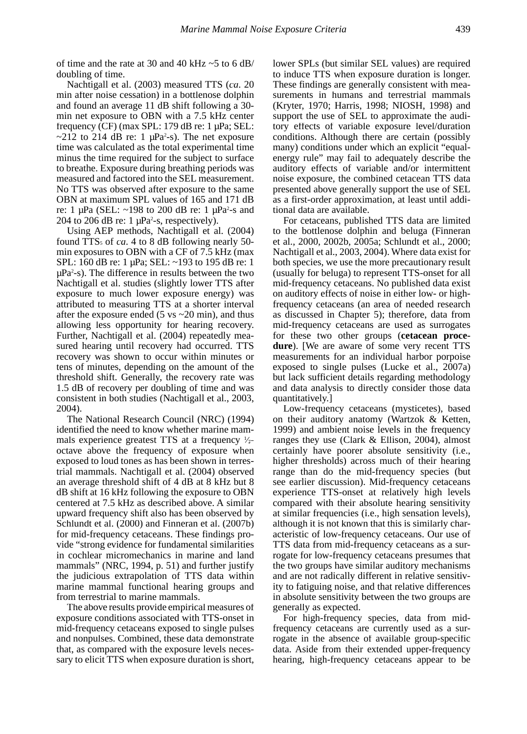of time and the rate at 30 and 40 kHz  $\sim$  5 to 6 dB/ doubling of time.

Nachtigall et al. (2003) measured TTS (*ca*. 20 min after noise cessation) in a bottlenose dolphin and found an average 11 dB shift following a 30 min net exposure to OBN with a 7.5 kHz center frequency (CF) (max SPL: 179 dB re: 1 µPa; SEL:  $\sim$ 212 to 214 dB re: 1  $\mu$ Pa<sup>2</sup>-s). The net exposure time was calculated as the total experimental time minus the time required for the subject to surface to breathe. Exposure during breathing periods was measured and factored into the SEL measurement. No TTS was observed after exposure to the same OBN at maximum SPL values of 165 and 171 dB re: 1  $\mu$ Pa (SEL: ~198 to 200 dB re: 1  $\mu$ Pa<sup>2</sup>-s and 204 to 206 dB re:  $1 \mu Pa^2$ -s, respectively).

Using AEP methods, Nachtigall et al. (2004) found TTS5 of *ca*. 4 to 8 dB following nearly 50 min exposures to OBN with a CF of 7.5 kHz (max SPL: 160 dB re: 1 µPa; SEL: ~193 to 195 dB re: 1 µPa2 -s). The difference in results between the two Nachtigall et al. studies (slightly lower TTS after exposure to much lower exposure energy) was attributed to measuring TTS at a shorter interval after the exposure ended (5 vs  $\sim$  20 min), and thus allowing less opportunity for hearing recovery. Further, Nachtigall et al. (2004) repeatedly measured hearing until recovery had occurred. TTS recovery was shown to occur within minutes or tens of minutes, depending on the amount of the threshold shift. Generally, the recovery rate was 1.5 dB of recovery per doubling of time and was consistent in both studies (Nachtigall et al., 2003, 2004).

The National Research Council (NRC) (1994) identified the need to know whether marine mammals experience greatest TTS at a frequency  $\frac{1}{2}$ octave above the frequency of exposure when exposed to loud tones as has been shown in terrestrial mammals. Nachtigall et al. (2004) observed an average threshold shift of 4 dB at 8 kHz but 8 dB shift at 16 kHz following the exposure to OBN centered at 7.5 kHz as described above. A similar upward frequency shift also has been observed by Schlundt et al. (2000) and Finneran et al. (2007b) for mid-frequency cetaceans. These findings provide "strong evidence for fundamental similarities in cochlear micromechanics in marine and land mammals" (NRC, 1994, p. 51) and further justify the judicious extrapolation of TTS data within marine mammal functional hearing groups and from terrestrial to marine mammals.

The above results provide empirical measures of exposure conditions associated with TTS-onset in mid-frequency cetaceans exposed to single pulses and nonpulses. Combined, these data demonstrate that, as compared with the exposure levels necessary to elicit TTS when exposure duration is short,

lower SPLs (but similar SEL values) are required to induce TTS when exposure duration is longer. These findings are generally consistent with measurements in humans and terrestrial mammals (Kryter, 1970; Harris, 1998; NIOSH, 1998) and support the use of SEL to approximate the auditory effects of variable exposure level/duration conditions. Although there are certain (possibly many) conditions under which an explicit "equalenergy rule" may fail to adequately describe the auditory effects of variable and/or intermittent noise exposure, the combined cetacean TTS data presented above generally support the use of SEL as a first-order approximation, at least until additional data are available.

For cetaceans, published TTS data are limited to the bottlenose dolphin and beluga (Finneran et al., 2000, 2002b, 2005a; Schlundt et al., 2000; Nachtigall et al., 2003, 2004). Where data exist for both species, we use the more precautionary result (usually for beluga) to represent TTS-onset for all mid-frequency cetaceans. No published data exist on auditory effects of noise in either low- or highfrequency cetaceans (an area of needed research as discussed in Chapter 5); therefore, data from mid-frequency cetaceans are used as surrogates for these two other groups (**cetacean procedure**). [We are aware of some very recent TTS measurements for an individual harbor porpoise exposed to single pulses (Lucke et al., 2007a) but lack sufficient details regarding methodology and data analysis to directly consider those data quantitatively.]

Low-frequency cetaceans (mysticetes), based on their auditory anatomy (Wartzok & Ketten, 1999) and ambient noise levels in the frequency ranges they use (Clark & Ellison, 2004), almost certainly have poorer absolute sensitivity (i.e., higher thresholds) across much of their hearing range than do the mid-frequency species (but see earlier discussion). Mid-frequency cetaceans experience TTS-onset at relatively high levels compared with their absolute hearing sensitivity at similar frequencies (i.e., high sensation levels), although it is not known that this is similarly characteristic of low-frequency cetaceans. Our use of TTS data from mid-frequency cetaceans as a surrogate for low-frequency cetaceans presumes that the two groups have similar auditory mechanisms and are not radically different in relative sensitivity to fatiguing noise, and that relative differences in absolute sensitivity between the two groups are generally as expected.

For high-frequency species, data from midfrequency cetaceans are currently used as a surrogate in the absence of available group-specific data. Aside from their extended upper-frequency hearing, high-frequency cetaceans appear to be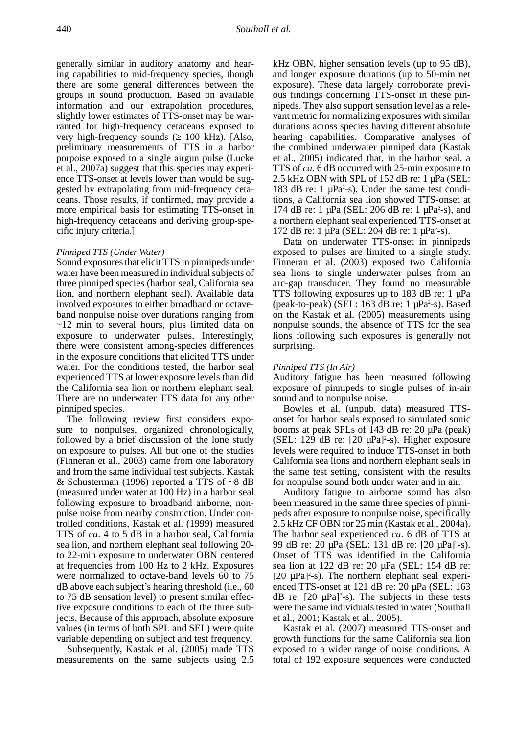generally similar in auditory anatomy and hearing capabilities to mid-frequency species, though there are some general differences between the groups in sound production. Based on available information and our extrapolation procedures, slightly lower estimates of TTS-onset may be warranted for high-frequency cetaceans exposed to very high-frequency sounds ( $\geq 100$  kHz). [Also, preliminary measurements of TTS in a harbor porpoise exposed to a single airgun pulse (Lucke et al., 2007a) suggest that this species may experience TTS-onset at levels lower than would be suggested by extrapolating from mid-frequency cetaceans. Those results, if confirmed, may provide a more empirical basis for estimating TTS-onset in high-frequency cetaceans and deriving group-specific injury criteria.]

## *Pinniped TTS (Under Water)*

Sound exposures that elicit TTS in pinnipeds under water have been measured in individual subjects of three pinniped species (harbor seal, California sea lion, and northern elephant seal). Available data involved exposures to either broadband or octaveband nonpulse noise over durations ranging from ~12 min to several hours, plus limited data on exposure to underwater pulses. Interestingly, there were consistent among-species differences in the exposure conditions that elicited TTS under water. For the conditions tested, the harbor seal experienced TTS at lower exposure levels than did the California sea lion or northern elephant seal. There are no underwater TTS data for any other pinniped species.

The following review first considers exposure to nonpulses, organized chronologically, followed by a brief discussion of the lone study on exposure to pulses. All but one of the studies (Finneran et al., 2003) came from one laboratory and from the same individual test subjects. Kastak & Schusterman (1996) reported a TTS of ~8 dB (measured under water at 100 Hz) in a harbor seal following exposure to broadband airborne, nonpulse noise from nearby construction. Under controlled conditions, Kastak et al. (1999) measured TTS of *ca*. 4 to 5 dB in a harbor seal, California sea lion, and northern elephant seal following 20 to 22-min exposure to underwater OBN centered at frequencies from 100 Hz to 2 kHz. Exposures were normalized to octave-band levels 60 to 75 dB above each subject's hearing threshold (i.e., 60 to 75 dB sensation level) to present similar effective exposure conditions to each of the three subjects. Because of this approach, absolute exposure values (in terms of both SPL and SEL) were quite variable depending on subject and test frequency.

Subsequently, Kastak et al. (2005) made TTS measurements on the same subjects using 2.5

kHz OBN, higher sensation levels (up to 95 dB), and longer exposure durations (up to 50-min net exposure). These data largely corroborate previous findings concerning TTS-onset in these pinnipeds. They also support sensation level as a relevant metric for normalizing exposures with similar durations across species having different absolute hearing capabilities. Comparative analyses of the combined underwater pinniped data (Kastak et al., 2005) indicated that, in the harbor seal, a TTS of *ca*. 6 dB occurred with 25-min exposure to 2.5 kHz OBN with SPL of 152 dB re: 1 µPa (SEL: 183 dB re:  $1 \mu Pa^2$ -s). Under the same test conditions, a California sea lion showed TTS-onset at 174 dB re: 1  $\mu$ Pa (SEL: 206 dB re: 1  $\mu$ Pa<sup>2</sup>-s), and a northern elephant seal experienced TTS-onset at 172 dB re: 1  $\mu$ Pa (SEL: 204 dB re: 1  $\mu$ Pa<sup>2</sup>-s).

Data on underwater TTS-onset in pinnipeds exposed to pulses are limited to a single study. Finneran et al. (2003) exposed two California sea lions to single underwater pulses from an arc-gap transducer. They found no measurable TTS following exposures up to 183 dB re: 1  $\mu$ Pa (peak-to-peak) (SEL:  $163$  dB re:  $1 \mu Pa^2$ -s). Based on the Kastak et al. (2005) measurements using nonpulse sounds, the absence of TTS for the sea lions following such exposures is generally not surprising.

#### *Pinniped TTS (In Air)*

Auditory fatigue has been measured following exposure of pinnipeds to single pulses of in-air sound and to nonpulse noise.

Bowles et al. (unpub. data) measured TTSonset for harbor seals exposed to simulated sonic booms at peak SPLs of 143 dB re: 20 µPa (peak) (SEL: 129 dB re:  $[20 \mu Pa]^2$ -s). Higher exposure levels were required to induce TTS-onset in both California sea lions and northern elephant seals in the same test setting, consistent with the results for nonpulse sound both under water and in air.

Auditory fatigue to airborne sound has also been measured in the same three species of pinnipeds after exposure to nonpulse noise, specifically 2.5 kHz CF OBN for 25 min (Kastak et al., 2004a). The harbor seal experienced *ca*. 6 dB of TTS at 99 dB re: 20 μPa (SEL: 131 dB re: [20 μPa]<sup>2</sup>-s). Onset of TTS was identified in the California sea lion at 122 dB re: 20 µPa (SEL: 154 dB re: [20 µPa]<sup>2</sup>-s). The northern elephant seal experienced TTS-onset at 121 dB re: 20 µPa (SEL: 163  $dB$  re:  $[20 \mu Pa]^2$ -s). The subjects in these tests were the same individuals tested in water (Southall et al., 2001; Kastak et al., 2005).

Kastak et al. (2007) measured TTS-onset and growth functions for the same California sea lion exposed to a wider range of noise conditions. A total of 192 exposure sequences were conducted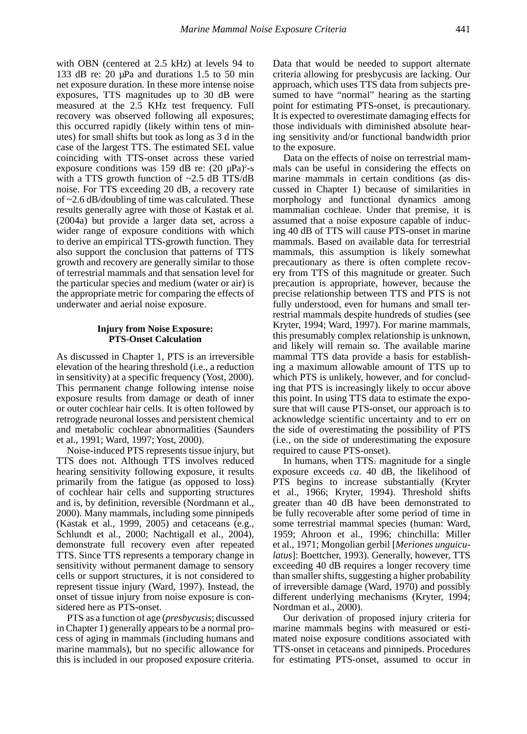with OBN (centered at 2.5 kHz) at levels 94 to 133 dB re: 20 µPa and durations 1.5 to 50 min net exposure duration. In these more intense noise exposures, TTS magnitudes up to 30 dB were measured at the 2.5 KHz test frequency. Full recovery was observed following all exposures; this occurred rapidly (likely within tens of minutes) for small shifts but took as long as 3 d in the case of the largest TTS. The estimated SEL value coinciding with TTS-onset across these varied exposure conditions was 159 dB re:  $(20 \mu Pa)^2$ -s with a TTS growth function of  $\sim$ 2.5 dB TTS/dB noise. For TTS exceeding 20 dB, a recovery rate of ~2.6 dB/doubling of time was calculated. These results generally agree with those of Kastak et al. (2004a) but provide a larger data set, across a wider range of exposure conditions with which to derive an empirical TTS-growth function. They also support the conclusion that patterns of TTS growth and recovery are generally similar to those of terrestrial mammals and that sensation level for the particular species and medium (water or air) is the appropriate metric for comparing the effects of underwater and aerial noise exposure.

## **Injury from Noise Exposure: PTS-Onset Calculation**

As discussed in Chapter 1, PTS is an irreversible elevation of the hearing threshold (i.e., a reduction in sensitivity) at a specific frequency (Yost, 2000). This permanent change following intense noise exposure results from damage or death of inner or outer cochlear hair cells. It is often followed by retrograde neuronal losses and persistent chemical and metabolic cochlear abnormalities (Saunders et al., 1991; Ward, 1997; Yost, 2000).

Noise-induced PTS represents tissue injury, but TTS does not. Although TTS involves reduced hearing sensitivity following exposure, it results primarily from the fatigue (as opposed to loss) of cochlear hair cells and supporting structures and is, by definition, reversible (Nordmann et al., 2000). Many mammals, including some pinnipeds (Kastak et al., 1999, 2005) and cetaceans (e.g., Schlundt et al., 2000; Nachtigall et al., 2004), demonstrate full recovery even after repeated TTS. Since TTS represents a temporary change in sensitivity without permanent damage to sensory cells or support structures, it is not considered to represent tissue injury (Ward, 1997). Instead, the onset of tissue injury from noise exposure is considered here as PTS-onset.

PTS as a function of age (*presbycusis*; discussed in Chapter 1) generally appears to be a normal process of aging in mammals (including humans and marine mammals), but no specific allowance for this is included in our proposed exposure criteria.

Data that would be needed to support alternate criteria allowing for presbycusis are lacking. Our approach, which uses TTS data from subjects presumed to have "normal" hearing as the starting point for estimating PTS-onset, is precautionary. It is expected to overestimate damaging effects for those individuals with diminished absolute hearing sensitivity and/or functional bandwidth prior to the exposure.

Data on the effects of noise on terrestrial mammals can be useful in considering the effects on marine mammals in certain conditions (as discussed in Chapter 1) because of similarities in morphology and functional dynamics among mammalian cochleae. Under that premise, it is assumed that a noise exposure capable of inducing 40 dB of TTS will cause PTS-onset in marine mammals. Based on available data for terrestrial mammals, this assumption is likely somewhat precautionary as there is often complete recovery from TTS of this magnitude or greater. Such precaution is appropriate, however, because the precise relationship between TTS and PTS is not fully understood, even for humans and small terrestrial mammals despite hundreds of studies (see Kryter, 1994; Ward, 1997). For marine mammals, this presumably complex relationship is unknown, and likely will remain so. The available marine mammal TTS data provide a basis for establishing a maximum allowable amount of TTS up to which PTS is unlikely, however, and for concluding that PTS is increasingly likely to occur above this point. In using TTS data to estimate the exposure that will cause PTS-onset, our approach is to acknowledge scientific uncertainty and to err on the side of overestimating the possibility of PTS (i.e., on the side of underestimating the exposure required to cause PTS-onset).

In humans, when  $TTS<sub>2</sub>$  magnitude for a single exposure exceeds *ca*. 40 dB, the likelihood of PTS begins to increase substantially (Kryter et al., 1966; Kryter, 1994). Threshold shifts greater than 40 dB have been demonstrated to be fully recoverable after some period of time in some terrestrial mammal species (human: Ward, 1959; Ahroon et al., 1996; chinchilla: Miller et al., 1971; Mongolian gerbil [*Meriones unguiculatus*]: Boettcher, 1993). Generally, however, TTS exceeding 40 dB requires a longer recovery time than smaller shifts, suggesting a higher probability of irreversible damage (Ward, 1970) and possibly different underlying mechanisms (Kryter, 1994; Nordman et al., 2000).

Our derivation of proposed injury criteria for marine mammals begins with measured or estimated noise exposure conditions associated with TTS-onset in cetaceans and pinnipeds. Procedures for estimating PTS-onset, assumed to occur in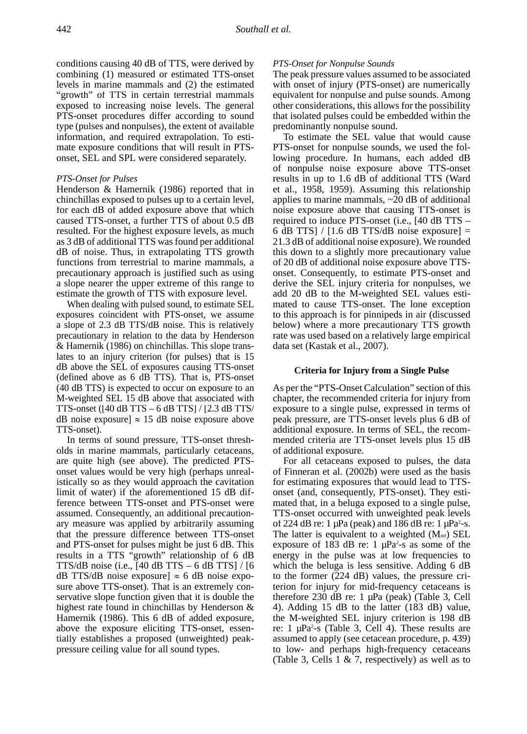conditions causing 40 dB of TTS, were derived by combining (1) measured or estimated TTS-onset levels in marine mammals and (2) the estimated "growth" of TTS in certain terrestrial mammals exposed to increasing noise levels. The general PTS-onset procedures differ according to sound type (pulses and nonpulses), the extent of available information, and required extrapolation. To estimate exposure conditions that will result in PTSonset, SEL and SPL were considered separately.

#### *PTS-Onset for Pulses*

Henderson & Hamernik (1986) reported that in chinchillas exposed to pulses up to a certain level, for each dB of added exposure above that which caused TTS-onset, a further TTS of about 0.5 dB resulted. For the highest exposure levels, as much as 3 dB of additional TTS was found per additional dB of noise. Thus, in extrapolating TTS growth functions from terrestrial to marine mammals, a precautionary approach is justified such as using a slope nearer the upper extreme of this range to estimate the growth of TTS with exposure level.

When dealing with pulsed sound, to estimate SEL exposures coincident with PTS-onset, we assume a slope of 2.3 dB TTS/dB noise. This is relatively precautionary in relation to the data by Henderson & Hamernik (1986) on chinchillas. This slope translates to an injury criterion (for pulses) that is 15 dB above the SEL of exposures causing TTS-onset (defined above as 6 dB TTS). That is, PTS-onset (40 dB TTS) is expected to occur on exposure to an M-weighted SEL 15 dB above that associated with TTS-onset ( $[40$  dB TTS – 6 dB TTS $]$  / $[2.3$  dB TTS/ dB noise exposure]  $\approx$  15 dB noise exposure above TTS-onset).

In terms of sound pressure, TTS-onset thresholds in marine mammals, particularly cetaceans, are quite high (see above). The predicted PTSonset values would be very high (perhaps unrealistically so as they would approach the cavitation limit of water) if the aforementioned 15 dB difference between TTS-onset and PTS-onset were assumed. Consequently, an additional precautionary measure was applied by arbitrarily assuming that the pressure difference between TTS-onset and PTS-onset for pulses might be just 6 dB. This results in a TTS "growth" relationship of 6 dB TTS/dB noise (i.e.,  $[40$  dB TTS – 6 dB TTS] /  $[6$ dB TTS/dB noise exposure]  $\approx$  6 dB noise exposure above TTS-onset). That is an extremely conservative slope function given that it is double the highest rate found in chinchillas by Henderson & Hamernik (1986). This 6 dB of added exposure, above the exposure eliciting TTS-onset, essentially establishes a proposed (unweighted) peakpressure ceiling value for all sound types.

## *PTS-Onset for Nonpulse Sounds*

The peak pressure values assumed to be associated with onset of injury (PTS-onset) are numerically equivalent for nonpulse and pulse sounds. Among other considerations, this allows for the possibility that isolated pulses could be embedded within the predominantly nonpulse sound.

To estimate the SEL value that would cause PTS-onset for nonpulse sounds, we used the following procedure. In humans, each added dB of nonpulse noise exposure above TTS-onset results in up to 1.6 dB of additional TTS (Ward et al., 1958, 1959). Assuming this relationship applies to marine mammals,  $\sim$  20 dB of additional noise exposure above that causing TTS-onset is required to induce PTS-onset (i.e., [40 dB TTS – 6 dB TTS] /  $[1.6$  dB TTS/dB noise exposure] = 21.3 dB of additional noise exposure). We rounded this down to a slightly more precautionary value of 20 dB of additional noise exposure above TTSonset. Consequently, to estimate PTS-onset and derive the SEL injury criteria for nonpulses, we add 20 dB to the M-weighted SEL values estimated to cause TTS-onset. The lone exception to this approach is for pinnipeds in air (discussed below) where a more precautionary TTS growth rate was used based on a relatively large empirical data set (Kastak et al., 2007).

## **Criteria for Injury from a Single Pulse**

As per the "PTS-Onset Calculation" section of this chapter, the recommended criteria for injury from exposure to a single pulse, expressed in terms of peak pressure, are TTS-onset levels plus 6 dB of additional exposure. In terms of SEL, the recommended criteria are TTS-onset levels plus 15 dB of additional exposure.

For all cetaceans exposed to pulses, the data of Finneran et al. (2002b) were used as the basis for estimating exposures that would lead to TTSonset (and, consequently, PTS-onset). They estimated that, in a beluga exposed to a single pulse, TTS-onset occurred with unweighted peak levels of 224 dB re:  $1 \mu Pa$  (peak) and 186 dB re:  $1 \mu Pa^2$ -s. The latter is equivalent to a weighted  $(M<sub>mf</sub>)$  SEL exposure of 183 dB re: 1  $\mu$ Pa<sup>2</sup>-s as some of the energy in the pulse was at low frequencies to which the beluga is less sensitive. Adding 6 dB to the former (224 dB) values, the pressure criterion for injury for mid-frequency cetaceans is therefore 230 dB re: 1 µPa (peak) (Table 3, Cell 4). Adding 15 dB to the latter (183 dB) value, the M-weighted SEL injury criterion is 198 dB re:  $1 \mu Pa^2$ -s (Table 3, Cell 4). These results are assumed to apply (see cetacean procedure, p. 439) to low- and perhaps high-frequency cetaceans (Table 3, Cells 1  $\&$  7, respectively) as well as to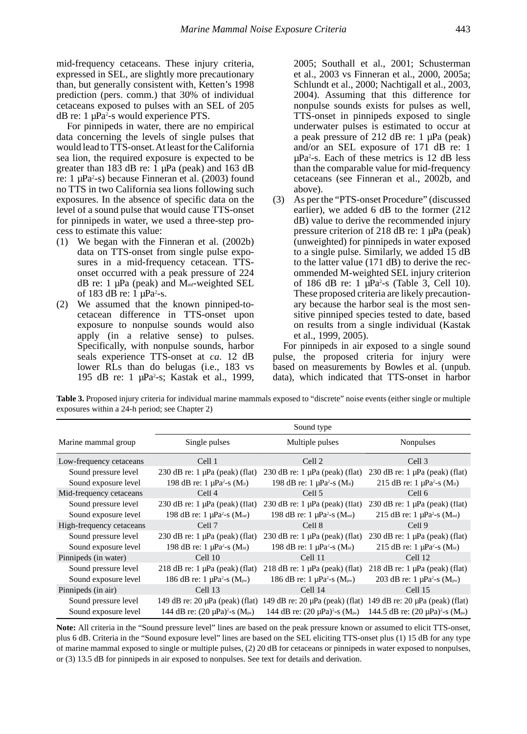mid-frequency cetaceans. These injury criteria, expressed in SEL, are slightly more precautionary than, but generally consistent with, Ketten's 1998 prediction (pers. comm.) that 30% of individual cetaceans exposed to pulses with an SEL of 205 dB re: 1 µPa<sup>2</sup>-s would experience PTS.

For pinnipeds in water, there are no empirical data concerning the levels of single pulses that would lead to TTS-onset. At least for the California sea lion, the required exposure is expected to be greater than 183 dB re: 1  $\mu$ Pa (peak) and 163 dB re: 1 μPa<sup>2</sup>-s) because Finneran et al. (2003) found no TTS in two California sea lions following such exposures. In the absence of specific data on the level of a sound pulse that would cause TTS-onset for pinnipeds in water, we used a three-step process to estimate this value:

- (1) We began with the Finneran et al. (2002b) data on TTS-onset from single pulse exposures in a mid-frequency cetacean. TTSonset occurred with a peak pressure of 224 dB re: 1  $\mu$ Pa (peak) and M<sub>mf</sub>-weighted SEL of 183 dB re:  $1 \mu Pa^2$ -s.
- (2) We assumed that the known pinniped-tocetacean difference in TTS-onset upon exposure to nonpulse sounds would also apply (in a relative sense) to pulses. Specifically, with nonpulse sounds, harbor seals experience TTS-onset at *ca*. 12 dB lower RLs than do belugas (i.e., 183 vs 195 dB re: 1 µPa2 -s; Kastak et al., 1999,

2005; Southall et al., 2001; Schusterman et al., 2003 vs Finneran et al., 2000, 2005a; Schlundt et al., 2000; Nachtigall et al., 2003, 2004). Assuming that this difference for nonpulse sounds exists for pulses as well, TTS-onset in pinnipeds exposed to single underwater pulses is estimated to occur at a peak pressure of 212 dB re: 1 µPa (peak) and/or an SEL exposure of 171 dB re: 1  $\mu$ Pa<sup>2</sup>-s. Each of these metrics is 12 dB less than the comparable value for mid-frequency cetaceans (see Finneran et al., 2002b, and above).

(3) As per the "PTS-onset Procedure" (discussed earlier), we added 6 dB to the former (212 dB) value to derive the recommended injury pressure criterion of 218 dB re: 1 µPa (peak) (unweighted) for pinnipeds in water exposed to a single pulse. Similarly, we added 15 dB to the latter value (171 dB) to derive the recommended M-weighted SEL injury criterion of 186 dB re:  $1 \mu Pa^2$ -s (Table 3, Cell 10). These proposed criteria are likely precautionary because the harbor seal is the most sensitive pinniped species tested to date, based on results from a single individual (Kastak et al., 1999, 2005).

For pinnipeds in air exposed to a single sound pulse, the proposed criteria for injury were based on measurements by Bowles et al. (unpub. data), which indicated that TTS-onset in harbor

**Table 3.** Proposed injury criteria for individual marine mammals exposed to "discrete" noise events (either single or multiple exposures within a 24-h period; see Chapter 2)

|                          |                                                          | Sound type                                               |                                                          |
|--------------------------|----------------------------------------------------------|----------------------------------------------------------|----------------------------------------------------------|
| Marine mammal group      | Single pulses                                            | Multiple pulses                                          | Nonpulses                                                |
| Low-frequency cetaceans  | Cell 1                                                   | Cell 2                                                   | Cell 3                                                   |
| Sound pressure level     | $230$ dB re: 1 $\mu$ Pa (peak) (flat)                    | 230 dB re: $1 \mu Pa$ (peak) (flat)                      | $230$ dB re: 1 $\mu$ Pa (peak) (flat)                    |
| Sound exposure level     | 198 dB re: $1 \mu Pa^2$ -s (M <sub>if</sub> )            | 198 dB re: $1 \mu Pa^2$ -s (M <sub>if</sub> )            | 215 dB re: $1 \mu Pa^2$ -s (M <sub>if</sub> )            |
| Mid-frequency cetaceans  | Cell <sub>4</sub>                                        | Cell 5                                                   | Cell 6                                                   |
| Sound pressure level     | $230$ dB re: 1 $\mu$ Pa (peak) (flat)                    | $230$ dB re: 1 $\mu$ Pa (peak) (flat)                    | $230$ dB re: 1 $\mu$ Pa (peak) (flat)                    |
| Sound exposure level     | 198 dB re: 1 $\mu$ Pa <sup>2</sup> -s (M <sub>mf</sub> ) | 198 dB re: 1 $\mu$ Pa <sup>2</sup> -s (M <sub>mf</sub> ) | 215 dB re: 1 $\mu$ Pa <sup>2</sup> -s (M <sub>mf</sub> ) |
| High-frequency cetaceans | Cell 7                                                   | Cell 8                                                   | Cell 9                                                   |
| Sound pressure level     | $230$ dB re: 1 $\mu$ Pa (peak) (flat)                    | $230$ dB re: 1 $\mu$ Pa (peak) (flat)                    | $230$ dB re: 1 $\mu$ Pa (peak) (flat)                    |
| Sound exposure level     | 198 dB re: $1 \mu Pa^2$ -s (M <sub>hf</sub> )            | 198 dB re: $1 \mu Pa^2$ -s (M <sub>hf</sub> )            | 215 dB re: $1 \mu Pa^2$ -s (M <sub>hf</sub> )            |
| Pinnipeds (in water)     | Cell <sub>10</sub>                                       | Cell 11                                                  | Cell 12                                                  |
| Sound pressure level     | $218$ dB re: $1 \mu Pa$ (peak) (flat)                    | 218 dB re: $1 \mu Pa$ (peak) (flat)                      | 218 dB re: $1 \mu Pa$ (peak) (flat)                      |
| Sound exposure level     | 186 dB re: 1 $\mu$ Pa <sup>2</sup> -s (M <sub>pw</sub> ) | 186 dB re: 1 $\mu$ Pa <sup>2</sup> -s (M <sub>pw</sub> ) | 203 dB re: 1 $\mu$ Pa <sup>2</sup> -s (M <sub>pw</sub> ) |
| Pinnipeds (in air)       | Cell 13                                                  | Cell 14                                                  | Cell 15                                                  |
| Sound pressure level     | 149 dB re: $20 \mu Pa$ (peak) (flat)                     | 149 dB re: $20 \mu Pa$ (peak) (flat)                     | 149 dB re: $20 \mu Pa$ (peak) (flat)                     |
| Sound exposure level     | 144 dB re: $(20 \mu Pa)^2$ -s $(M_{pa})$                 | 144 dB re: $(20 \mu Pa)^2$ -s $(M_{pa})$                 | 144.5 dB re: $(20 \mu Pa)^2$ -s $(M_{pa})$               |

**Note:** All criteria in the "Sound pressure level" lines are based on the peak pressure known or assumed to elicit TTS-onset, plus 6 dB. Criteria in the "Sound exposure level" lines are based on the SEL eliciting TTS-onset plus (1) 15 dB for any type of marine mammal exposed to single or multiple pulses, (2) 20 dB for cetaceans or pinnipeds in water exposed to nonpulses, or (3) 13.5 dB for pinnipeds in air exposed to nonpulses. See text for details and derivation.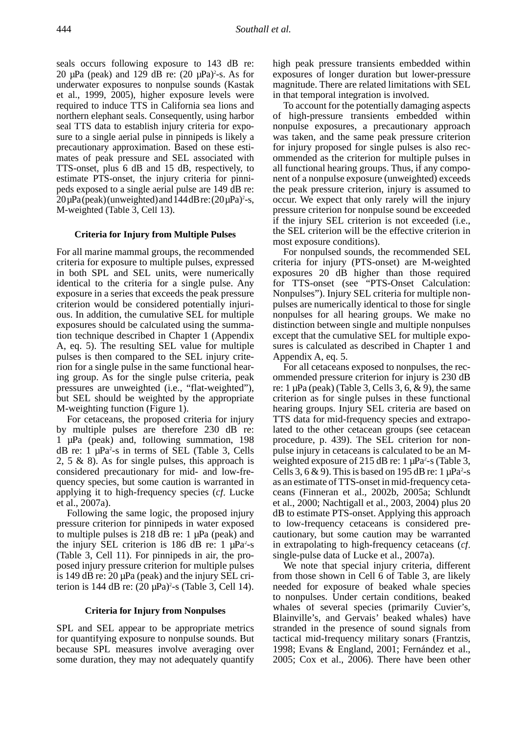seals occurs following exposure to 143 dB re: 20  $\mu$ Pa (peak) and 129 dB re:  $(20 \mu Pa)^2$ -s. As for underwater exposures to nonpulse sounds (Kastak et al., 1999, 2005), higher exposure levels were required to induce TTS in California sea lions and northern elephant seals. Consequently, using harbor seal TTS data to establish injury criteria for exposure to a single aerial pulse in pinnipeds is likely a precautionary approximation. Based on these estimates of peak pressure and SEL associated with TTS-onset, plus 6 dB and 15 dB, respectively, to estimate PTS-onset, the injury criteria for pinnipeds exposed to a single aerial pulse are 149 dB re:  $20 \mu Pa$  (peak) (unweighted) and  $144 dB$  re:  $(20 \mu Pa)^2$ -s, M-weighted (Table 3, Cell 13).

## **Criteria for Injury from Multiple Pulses**

For all marine mammal groups, the recommended criteria for exposure to multiple pulses, expressed in both SPL and SEL units, were numerically identical to the criteria for a single pulse. Any exposure in a series that exceeds the peak pressure criterion would be considered potentially injurious. In addition, the cumulative SEL for multiple exposures should be calculated using the summation technique described in Chapter 1 (Appendix A, eq. 5). The resulting SEL value for multiple pulses is then compared to the SEL injury criterion for a single pulse in the same functional hearing group. As for the single pulse criteria, peak pressures are unweighted (i.e., "flat-weighted"), but SEL should be weighted by the appropriate M-weighting function (Figure 1).

For cetaceans, the proposed criteria for injury by multiple pulses are therefore 230 dB re: 1 µPa (peak) and, following summation, 198  $dB$  re: 1  $\mu$ Pa<sup>2</sup>-s in terms of SEL (Table 3, Cells 2, 5  $\&$  8). As for single pulses, this approach is considered precautionary for mid- and low-frequency species, but some caution is warranted in applying it to high-frequency species (*cf*. Lucke et al., 2007a).

Following the same logic, the proposed injury pressure criterion for pinnipeds in water exposed to multiple pulses is 218 dB re:  $1 \mu Pa$  (peak) and the injury SEL criterion is 186 dB re:  $1 \mu Pa^2-s$ (Table 3, Cell 11). For pinnipeds in air, the proposed injury pressure criterion for multiple pulses is 149 dB re: 20 µPa (peak) and the injury SEL criterion is 144 dB re:  $(20 \mu Pa)^2$ -s (Table 3, Cell 14).

## **Criteria for Injury from Nonpulses**

SPL and SEL appear to be appropriate metrics for quantifying exposure to nonpulse sounds. But because SPL measures involve averaging over some duration, they may not adequately quantify high peak pressure transients embedded within exposures of longer duration but lower-pressure magnitude. There are related limitations with SEL in that temporal integration is involved.

To account for the potentially damaging aspects of high-pressure transients embedded within nonpulse exposures, a precautionary approach was taken, and the same peak pressure criterion for injury proposed for single pulses is also recommended as the criterion for multiple pulses in all functional hearing groups. Thus, if any component of a nonpulse exposure (unweighted) exceeds the peak pressure criterion, injury is assumed to occur. We expect that only rarely will the injury pressure criterion for nonpulse sound be exceeded if the injury SEL criterion is not exceeded (i.e., the SEL criterion will be the effective criterion in most exposure conditions).

For nonpulsed sounds, the recommended SEL criteria for injury (PTS-onset) are M-weighted exposures 20 dB higher than those required for TTS-onset (see "PTS-Onset Calculation: Nonpulses"). Injury SEL criteria for multiple nonpulses are numerically identical to those for single nonpulses for all hearing groups. We make no distinction between single and multiple nonpulses except that the cumulative SEL for multiple exposures is calculated as described in Chapter 1 and Appendix A, eq. 5.

For all cetaceans exposed to nonpulses, the recommended pressure criterion for injury is 230 dB re:  $1 \mu Pa$  (peak) (Table 3, Cells 3, 6, & 9), the same criterion as for single pulses in these functional hearing groups. Injury SEL criteria are based on TTS data for mid-frequency species and extrapolated to the other cetacean groups (see cetacean procedure, p. 439). The SEL criterion for nonpulse injury in cetaceans is calculated to be an Mweighted exposure of 215 dB re:  $1 \mu Pa^2$ -s (Table 3, Cells 3, 6 & 9). This is based on 195 dB re:  $1 \mu Pa^2-s$ as an estimate of TTS-onset in mid-frequency cetaceans (Finneran et al., 2002b, 2005a; Schlundt et al., 2000; Nachtigall et al., 2003, 2004) plus 20 dB to estimate PTS-onset. Applying this approach to low-frequency cetaceans is considered precautionary, but some caution may be warranted in extrapolating to high-frequency cetaceans (*cf*. single-pulse data of Lucke et al., 2007a).

We note that special injury criteria, different from those shown in Cell 6 of Table 3, are likely needed for exposure of beaked whale species to nonpulses. Under certain conditions, beaked whales of several species (primarily Cuvier's, Blainville's, and Gervais' beaked whales) have stranded in the presence of sound signals from tactical mid-frequency military sonars (Frantzis, 1998; Evans & England, 2001; Fernández et al., 2005; Cox et al., 2006). There have been other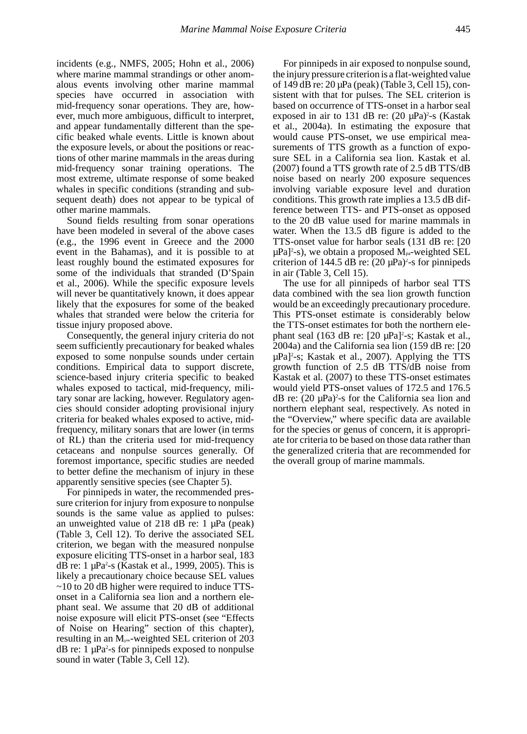incidents (e.g., NMFS, 2005; Hohn et al., 2006) where marine mammal strandings or other anomalous events involving other marine mammal species have occurred in association with mid-frequency sonar operations. They are, however, much more ambiguous, difficult to interpret, and appear fundamentally different than the specific beaked whale events. Little is known about the exposure levels, or about the positions or reactions of other marine mammals in the areas during mid-frequency sonar training operations. The most extreme, ultimate response of some beaked whales in specific conditions (stranding and subsequent death) does not appear to be typical of other marine mammals.

Sound fields resulting from sonar operations have been modeled in several of the above cases (e.g., the 1996 event in Greece and the 2000 event in the Bahamas), and it is possible to at least roughly bound the estimated exposures for some of the individuals that stranded (D'Spain et al., 2006). While the specific exposure levels will never be quantitatively known, it does appear likely that the exposures for some of the beaked whales that stranded were below the criteria for tissue injury proposed above.

Consequently, the general injury criteria do not seem sufficiently precautionary for beaked whales exposed to some nonpulse sounds under certain conditions. Empirical data to support discrete, science-based injury criteria specific to beaked whales exposed to tactical, mid-frequency, military sonar are lacking, however. Regulatory agencies should consider adopting provisional injury criteria for beaked whales exposed to active, midfrequency, military sonars that are lower (in terms of RL) than the criteria used for mid-frequency cetaceans and nonpulse sources generally. Of foremost importance, specific studies are needed to better define the mechanism of injury in these apparently sensitive species (see Chapter 5).

For pinnipeds in water, the recommended pressure criterion for injury from exposure to nonpulse sounds is the same value as applied to pulses: an unweighted value of 218 dB re:  $1 \mu Pa$  (peak) (Table 3, Cell 12). To derive the associated SEL criterion, we began with the measured nonpulse exposure eliciting TTS-onset in a harbor seal, 183 dB re:  $1 \mu Pa^2$ -s (Kastak et al., 1999, 2005). This is likely a precautionary choice because SEL values ~10 to 20 dB higher were required to induce TTSonset in a California sea lion and a northern elephant seal. We assume that 20 dB of additional noise exposure will elicit PTS-onset (see "Effects of Noise on Hearing" section of this chapter), resulting in an  $M_{\text{pw}}$ -weighted SEL criterion of 203 dB re: 1 µPa2 -s for pinnipeds exposed to nonpulse sound in water (Table 3, Cell 12).

For pinnipeds in air exposed to nonpulse sound, the injury pressure criterion is a flat-weighted value of 149 dB re: 20 µPa (peak) (Table 3, Cell 15), consistent with that for pulses. The SEL criterion is based on occurrence of TTS-onset in a harbor seal exposed in air to 131 dB re:  $(20 \mu Pa)^2$ -s (Kastak et al., 2004a). In estimating the exposure that would cause PTS-onset, we use empirical measurements of TTS growth as a function of exposure SEL in a California sea lion. Kastak et al. (2007) found a TTS growth rate of 2.5 dB TTS/dB noise based on nearly 200 exposure sequences involving variable exposure level and duration conditions. This growth rate implies a 13.5 dB difference between TTS- and PTS-onset as opposed to the 20 dB value used for marine mammals in water. When the 13.5 dB figure is added to the TTS-onset value for harbor seals (131 dB re: [20  $\mu$ Pa]<sup>2</sup>-s), we obtain a proposed M<sub>pa</sub>-weighted SEL criterion of 144.5 dB re:  $(20 \mu Pa)^2$ -s for pinnipeds in air (Table 3, Cell 15).

The use for all pinnipeds of harbor seal TTS data combined with the sea lion growth function would be an exceedingly precautionary procedure. This PTS-onset estimate is considerably below the TTS-onset estimates for both the northern elephant seal  $(163 \text{ dB} \text{ re: } [20 \text{ }\mu\text{Pa}]^2$ -s; Kastak et al., 2004a) and the California sea lion (159 dB re: [20 µPa]2 -s; Kastak et al., 2007). Applying the TTS growth function of 2.5 dB TTS/dB noise from Kastak et al. (2007) to these TTS-onset estimates would yield PTS-onset values of 172.5 and 176.5  $dB$  re: (20  $\mu$ Pa)<sup>2</sup>-s for the California sea lion and northern elephant seal, respectively. As noted in the "Overview," where specific data are available for the species or genus of concern, it is appropriate for criteria to be based on those data rather than the generalized criteria that are recommended for the overall group of marine mammals.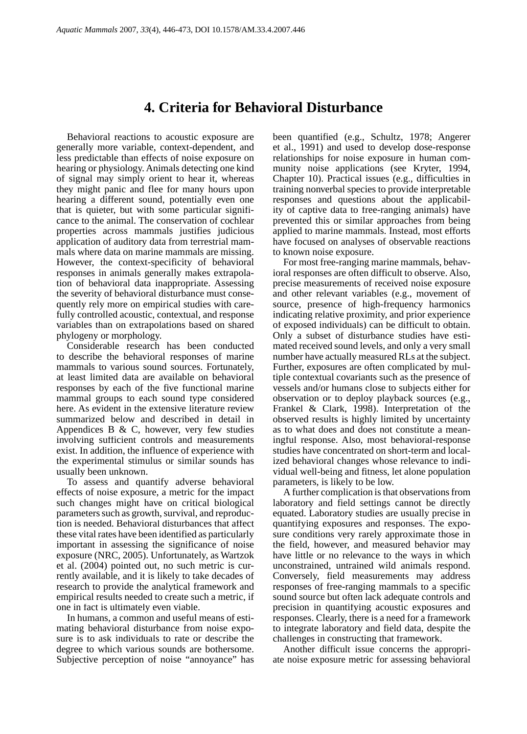## **4. Criteria for Behavioral Disturbance**

Behavioral reactions to acoustic exposure are generally more variable, context-dependent, and less predictable than effects of noise exposure on hearing or physiology. Animals detecting one kind of signal may simply orient to hear it, whereas they might panic and flee for many hours upon hearing a different sound, potentially even one that is quieter, but with some particular significance to the animal. The conservation of cochlear properties across mammals justifies judicious application of auditory data from terrestrial mammals where data on marine mammals are missing. However, the context-specificity of behavioral responses in animals generally makes extrapolation of behavioral data inappropriate. Assessing the severity of behavioral disturbance must consequently rely more on empirical studies with carefully controlled acoustic, contextual, and response variables than on extrapolations based on shared phylogeny or morphology.

Considerable research has been conducted to describe the behavioral responses of marine mammals to various sound sources. Fortunately, at least limited data are available on behavioral responses by each of the five functional marine mammal groups to each sound type considered here. As evident in the extensive literature review summarized below and described in detail in Appendices B  $\& C$ , however, very few studies involving sufficient controls and measurements exist. In addition, the influence of experience with the experimental stimulus or similar sounds has usually been unknown.

To assess and quantify adverse behavioral effects of noise exposure, a metric for the impact such changes might have on critical biological parameters such as growth, survival, and reproduction is needed. Behavioral disturbances that affect these vital rates have been identified as particularly important in assessing the significance of noise exposure (NRC, 2005). Unfortunately, as Wartzok et al. (2004) pointed out, no such metric is currently available, and it is likely to take decades of research to provide the analytical framework and empirical results needed to create such a metric, if one in fact is ultimately even viable.

In humans, a common and useful means of estimating behavioral disturbance from noise exposure is to ask individuals to rate or describe the degree to which various sounds are bothersome. Subjective perception of noise "annoyance" has

been quantified (e.g., Schultz, 1978; Angerer et al., 1991) and used to develop dose-response relationships for noise exposure in human community noise applications (see Kryter, 1994, Chapter 10). Practical issues (e.g., difficulties in training nonverbal species to provide interpretable responses and questions about the applicability of captive data to free-ranging animals) have prevented this or similar approaches from being applied to marine mammals. Instead, most efforts have focused on analyses of observable reactions to known noise exposure.

For most free-ranging marine mammals, behavioral responses are often difficult to observe. Also, precise measurements of received noise exposure and other relevant variables (e.g., movement of source, presence of high-frequency harmonics indicating relative proximity, and prior experience of exposed individuals) can be difficult to obtain. Only a subset of disturbance studies have estimated received sound levels, and only a very small number have actually measured RLs at the subject. Further, exposures are often complicated by multiple contextual covariants such as the presence of vessels and/or humans close to subjects either for observation or to deploy playback sources (e.g., Frankel & Clark, 1998). Interpretation of the observed results is highly limited by uncertainty as to what does and does not constitute a meaningful response. Also, most behavioral-response studies have concentrated on short-term and localized behavioral changes whose relevance to individual well-being and fitness, let alone population parameters, is likely to be low.

A further complication is that observations from laboratory and field settings cannot be directly equated. Laboratory studies are usually precise in quantifying exposures and responses. The exposure conditions very rarely approximate those in the field, however, and measured behavior may have little or no relevance to the ways in which unconstrained, untrained wild animals respond. Conversely, field measurements may address responses of free-ranging mammals to a specific sound source but often lack adequate controls and precision in quantifying acoustic exposures and responses. Clearly, there is a need for a framework to integrate laboratory and field data, despite the challenges in constructing that framework.

Another difficult issue concerns the appropriate noise exposure metric for assessing behavioral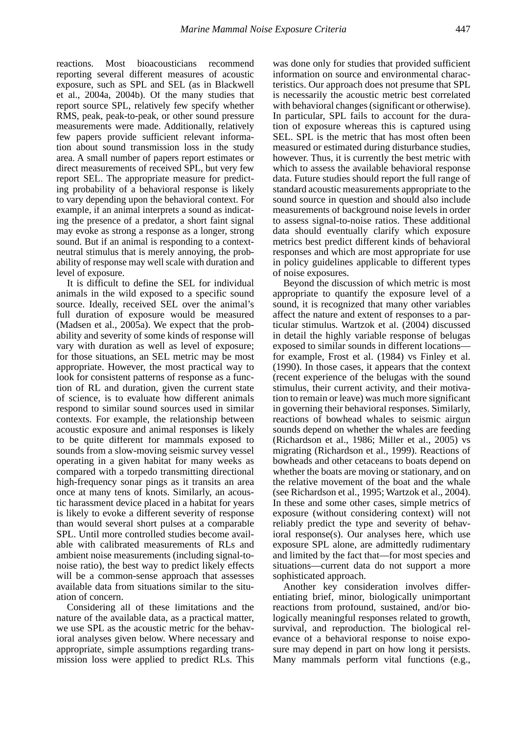reactions. Most bioacousticians recommend reporting several different measures of acoustic exposure, such as SPL and SEL (as in Blackwell et al., 2004a, 2004b). Of the many studies that report source SPL, relatively few specify whether RMS, peak, peak-to-peak, or other sound pressure measurements were made. Additionally, relatively few papers provide sufficient relevant information about sound transmission loss in the study area. A small number of papers report estimates or direct measurements of received SPL, but very few report SEL. The appropriate measure for predicting probability of a behavioral response is likely to vary depending upon the behavioral context. For example, if an animal interprets a sound as indicating the presence of a predator, a short faint signal may evoke as strong a response as a longer, strong sound. But if an animal is responding to a contextneutral stimulus that is merely annoying, the probability of response may well scale with duration and level of exposure.

It is difficult to define the SEL for individual animals in the wild exposed to a specific sound source. Ideally, received SEL over the animal's full duration of exposure would be measured (Madsen et al., 2005a). We expect that the probability and severity of some kinds of response will vary with duration as well as level of exposure; for those situations, an SEL metric may be most appropriate. However, the most practical way to look for consistent patterns of response as a function of RL and duration, given the current state of science, is to evaluate how different animals respond to similar sound sources used in similar contexts. For example, the relationship between acoustic exposure and animal responses is likely to be quite different for mammals exposed to sounds from a slow-moving seismic survey vessel operating in a given habitat for many weeks as compared with a torpedo transmitting directional high-frequency sonar pings as it transits an area once at many tens of knots. Similarly, an acoustic harassment device placed in a habitat for years is likely to evoke a different severity of response than would several short pulses at a comparable SPL. Until more controlled studies become available with calibrated measurements of RLs and ambient noise measurements (including signal-tonoise ratio), the best way to predict likely effects will be a common-sense approach that assesses available data from situations similar to the situation of concern.

Considering all of these limitations and the nature of the available data, as a practical matter, we use SPL as the acoustic metric for the behavioral analyses given below. Where necessary and appropriate, simple assumptions regarding transmission loss were applied to predict RLs. This

was done only for studies that provided sufficient information on source and environmental characteristics. Our approach does not presume that SPL is necessarily the acoustic metric best correlated with behavioral changes (significant or otherwise). In particular, SPL fails to account for the duration of exposure whereas this is captured using SEL. SPL is the metric that has most often been measured or estimated during disturbance studies, however. Thus, it is currently the best metric with which to assess the available behavioral response data. Future studies should report the full range of standard acoustic measurements appropriate to the sound source in question and should also include measurements of background noise levels in order to assess signal-to-noise ratios. These additional data should eventually clarify which exposure metrics best predict different kinds of behavioral responses and which are most appropriate for use in policy guidelines applicable to different types of noise exposures.

Beyond the discussion of which metric is most appropriate to quantify the exposure level of a sound, it is recognized that many other variables affect the nature and extent of responses to a particular stimulus. Wartzok et al. (2004) discussed in detail the highly variable response of belugas exposed to similar sounds in different locations for example, Frost et al. (1984) vs Finley et al. (1990). In those cases, it appears that the context (recent experience of the belugas with the sound stimulus, their current activity, and their motivation to remain or leave) was much more significant in governing their behavioral responses. Similarly, reactions of bowhead whales to seismic airgun sounds depend on whether the whales are feeding (Richardson et al., 1986; Miller et al., 2005) vs migrating (Richardson et al., 1999). Reactions of bowheads and other cetaceans to boats depend on whether the boats are moving or stationary, and on the relative movement of the boat and the whale (see Richardson et al., 1995; Wartzok et al., 2004). In these and some other cases, simple metrics of exposure (without considering context) will not reliably predict the type and severity of behavioral response(s). Our analyses here, which use exposure SPL alone, are admittedly rudimentary and limited by the fact that—for most species and situations—current data do not support a more sophisticated approach.

Another key consideration involves differentiating brief, minor, biologically unimportant reactions from profound, sustained, and/or biologically meaningful responses related to growth, survival, and reproduction. The biological relevance of a behavioral response to noise exposure may depend in part on how long it persists. Many mammals perform vital functions (e.g.,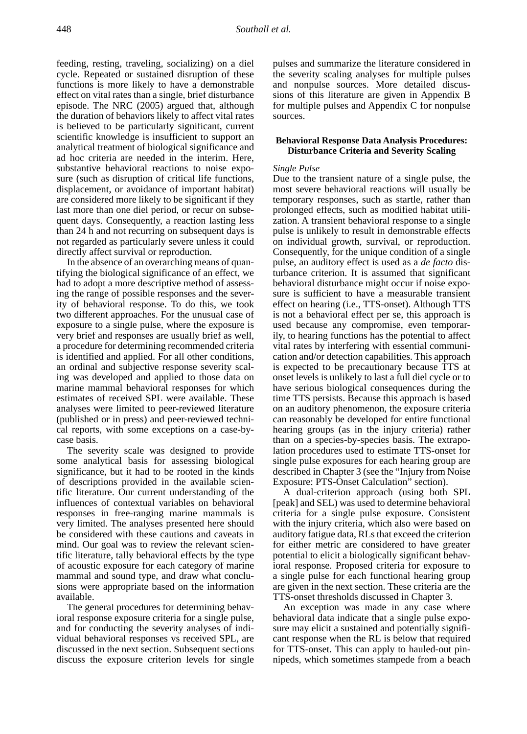feeding, resting, traveling, socializing) on a diel cycle. Repeated or sustained disruption of these functions is more likely to have a demonstrable effect on vital rates than a single, brief disturbance episode. The NRC (2005) argued that, although the duration of behaviors likely to affect vital rates is believed to be particularly significant, current scientific knowledge is insufficient to support an analytical treatment of biological significance and ad hoc criteria are needed in the interim. Here, substantive behavioral reactions to noise exposure (such as disruption of critical life functions, displacement, or avoidance of important habitat) are considered more likely to be significant if they last more than one diel period, or recur on subsequent days. Consequently, a reaction lasting less than 24 h and not recurring on subsequent days is not regarded as particularly severe unless it could directly affect survival or reproduction.

In the absence of an overarching means of quantifying the biological significance of an effect, we had to adopt a more descriptive method of assessing the range of possible responses and the severity of behavioral response. To do this, we took two different approaches. For the unusual case of exposure to a single pulse, where the exposure is very brief and responses are usually brief as well, a procedure for determining recommended criteria is identified and applied. For all other conditions, an ordinal and subjective response severity scaling was developed and applied to those data on marine mammal behavioral responses for which estimates of received SPL were available. These analyses were limited to peer-reviewed literature (published or in press) and peer-reviewed technical reports, with some exceptions on a case-bycase basis.

The severity scale was designed to provide some analytical basis for assessing biological significance, but it had to be rooted in the kinds of descriptions provided in the available scientific literature. Our current understanding of the influences of contextual variables on behavioral responses in free-ranging marine mammals is very limited. The analyses presented here should be considered with these cautions and caveats in mind. Our goal was to review the relevant scientific literature, tally behavioral effects by the type of acoustic exposure for each category of marine mammal and sound type, and draw what conclusions were appropriate based on the information available.

The general procedures for determining behavioral response exposure criteria for a single pulse, and for conducting the severity analyses of individual behavioral responses vs received SPL, are discussed in the next section. Subsequent sections discuss the exposure criterion levels for single

pulses and summarize the literature considered in the severity scaling analyses for multiple pulses and nonpulse sources. More detailed discussions of this literature are given in Appendix B for multiple pulses and Appendix C for nonpulse sources.

## **Behavioral Response Data Analysis Procedures: Disturbance Criteria and Severity Scaling**

## *Single Pulse*

Due to the transient nature of a single pulse, the most severe behavioral reactions will usually be temporary responses, such as startle, rather than prolonged effects, such as modified habitat utilization. A transient behavioral response to a single pulse is unlikely to result in demonstrable effects on individual growth, survival, or reproduction. Consequently, for the unique condition of a single pulse, an auditory effect is used as a *de facto* disturbance criterion. It is assumed that significant behavioral disturbance might occur if noise exposure is sufficient to have a measurable transient effect on hearing (i.e., TTS-onset). Although TTS is not a behavioral effect per se, this approach is used because any compromise, even temporarily, to hearing functions has the potential to affect vital rates by interfering with essential communication and/or detection capabilities. This approach is expected to be precautionary because TTS at onset levels is unlikely to last a full diel cycle or to have serious biological consequences during the time TTS persists. Because this approach is based on an auditory phenomenon, the exposure criteria can reasonably be developed for entire functional hearing groups (as in the injury criteria) rather than on a species-by-species basis. The extrapolation procedures used to estimate TTS-onset for single pulse exposures for each hearing group are described in Chapter 3 (see the "Injury from Noise Exposure: PTS-Onset Calculation" section).

A dual-criterion approach (using both SPL [peak] and SEL) was used to determine behavioral criteria for a single pulse exposure. Consistent with the injury criteria, which also were based on auditory fatigue data, RLs that exceed the criterion for either metric are considered to have greater potential to elicit a biologically significant behavioral response. Proposed criteria for exposure to a single pulse for each functional hearing group are given in the next section. These criteria are the TTS-onset thresholds discussed in Chapter 3.

An exception was made in any case where behavioral data indicate that a single pulse exposure may elicit a sustained and potentially significant response when the RL is below that required for TTS-onset. This can apply to hauled-out pinnipeds, which sometimes stampede from a beach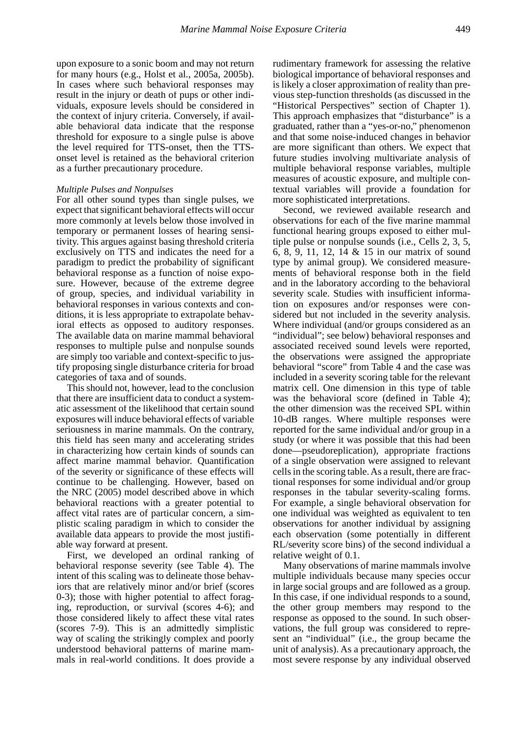upon exposure to a sonic boom and may not return for many hours (e.g., Holst et al., 2005a, 2005b). In cases where such behavioral responses may result in the injury or death of pups or other individuals, exposure levels should be considered in the context of injury criteria. Conversely, if available behavioral data indicate that the response threshold for exposure to a single pulse is above the level required for TTS-onset, then the TTSonset level is retained as the behavioral criterion as a further precautionary procedure.

#### *Multiple Pulses and Nonpulses*

For all other sound types than single pulses, we expect that significant behavioral effects will occur more commonly at levels below those involved in temporary or permanent losses of hearing sensitivity. This argues against basing threshold criteria exclusively on TTS and indicates the need for a paradigm to predict the probability of significant behavioral response as a function of noise exposure. However, because of the extreme degree of group, species, and individual variability in behavioral responses in various contexts and conditions, it is less appropriate to extrapolate behavioral effects as opposed to auditory responses. The available data on marine mammal behavioral responses to multiple pulse and nonpulse sounds are simply too variable and context-specific to justify proposing single disturbance criteria for broad categories of taxa and of sounds.

This should not, however, lead to the conclusion that there are insufficient data to conduct a systematic assessment of the likelihood that certain sound exposures will induce behavioral effects of variable seriousness in marine mammals. On the contrary, this field has seen many and accelerating strides in characterizing how certain kinds of sounds can affect marine mammal behavior. Quantification of the severity or significance of these effects will continue to be challenging. However, based on the NRC (2005) model described above in which behavioral reactions with a greater potential to affect vital rates are of particular concern, a simplistic scaling paradigm in which to consider the available data appears to provide the most justifiable way forward at present.

First, we developed an ordinal ranking of behavioral response severity (see Table 4). The intent of this scaling was to delineate those behaviors that are relatively minor and/or brief (scores 0-3); those with higher potential to affect foraging, reproduction, or survival (scores 4-6); and those considered likely to affect these vital rates (scores 7-9). This is an admittedly simplistic way of scaling the strikingly complex and poorly understood behavioral patterns of marine mammals in real-world conditions. It does provide a

rudimentary framework for assessing the relative biological importance of behavioral responses and is likely a closer approximation of reality than previous step-function thresholds (as discussed in the "Historical Perspectives" section of Chapter 1). This approach emphasizes that "disturbance" is a graduated, rather than a "yes-or-no," phenomenon and that some noise-induced changes in behavior are more significant than others. We expect that future studies involving multivariate analysis of multiple behavioral response variables, multiple measures of acoustic exposure, and multiple contextual variables will provide a foundation for more sophisticated interpretations.

Second, we reviewed available research and observations for each of the five marine mammal functional hearing groups exposed to either multiple pulse or nonpulse sounds (i.e., Cells 2, 3, 5, 6, 8, 9, 11, 12, 14 & 15 in our matrix of sound type by animal group). We considered measurements of behavioral response both in the field and in the laboratory according to the behavioral severity scale. Studies with insufficient information on exposures and/or responses were considered but not included in the severity analysis. Where individual (and/or groups considered as an "individual"; see below) behavioral responses and associated received sound levels were reported, the observations were assigned the appropriate behavioral "score" from Table 4 and the case was included in a severity scoring table for the relevant matrix cell. One dimension in this type of table was the behavioral score (defined in Table 4); the other dimension was the received SPL within 10-dB ranges. Where multiple responses were reported for the same individual and/or group in a study (or where it was possible that this had been done—pseudoreplication), appropriate fractions of a single observation were assigned to relevant cells in the scoring table. As a result, there are fractional responses for some individual and/or group responses in the tabular severity-scaling forms. For example, a single behavioral observation for one individual was weighted as equivalent to ten observations for another individual by assigning each observation (some potentially in different RL/severity score bins) of the second individual a relative weight of 0.1.

Many observations of marine mammals involve multiple individuals because many species occur in large social groups and are followed as a group. In this case, if one individual responds to a sound, the other group members may respond to the response as opposed to the sound. In such observations, the full group was considered to represent an "individual" (i.e., the group became the unit of analysis). As a precautionary approach, the most severe response by any individual observed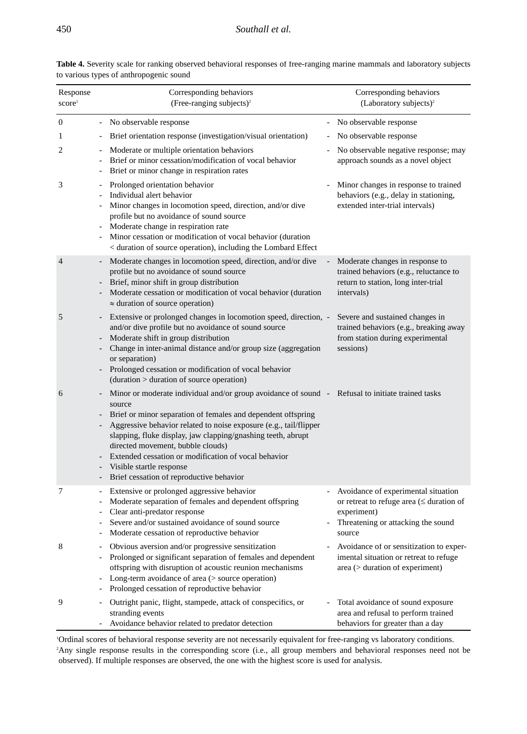| Response<br>score <sup>1</sup> | Corresponding behaviors<br>(Free-ranging subjects) <sup>2</sup>                                                                                                                                                                                                                                                                                                                                                                                                                                                    | Corresponding behaviors<br>(Laboratory subjects) <sup>2</sup>                                                                                        |
|--------------------------------|--------------------------------------------------------------------------------------------------------------------------------------------------------------------------------------------------------------------------------------------------------------------------------------------------------------------------------------------------------------------------------------------------------------------------------------------------------------------------------------------------------------------|------------------------------------------------------------------------------------------------------------------------------------------------------|
| $\mathbf{0}$                   | - No observable response                                                                                                                                                                                                                                                                                                                                                                                                                                                                                           | No observable response                                                                                                                               |
| 1                              | Brief orientation response (investigation/visual orientation)                                                                                                                                                                                                                                                                                                                                                                                                                                                      | No observable response                                                                                                                               |
| $\overline{c}$                 | Moderate or multiple orientation behaviors<br>Brief or minor cessation/modification of vocal behavior<br>$\overline{\phantom{a}}$<br>Brief or minor change in respiration rates                                                                                                                                                                                                                                                                                                                                    | No observable negative response; may<br>approach sounds as a novel object                                                                            |
| 3                              | Prolonged orientation behavior<br>Individual alert behavior<br>Minor changes in locomotion speed, direction, and/or dive<br>$\overline{\phantom{a}}$<br>profile but no avoidance of sound source<br>Moderate change in respiration rate<br>$\mathcal{L}_{\mathcal{A}}$<br>Minor cessation or modification of vocal behavior (duration<br>< duration of source operation), including the Lombard Effect                                                                                                             | Minor changes in response to trained<br>behaviors (e.g., delay in stationing,<br>extended inter-trial intervals)                                     |
| $\overline{4}$                 | Moderate changes in locomotion speed, direction, and/or dive<br>profile but no avoidance of sound source<br>Brief, minor shift in group distribution<br>Moderate cessation or modification of vocal behavior (duration<br>$\blacksquare$<br>$\approx$ duration of source operation)                                                                                                                                                                                                                                | Moderate changes in response to<br>trained behaviors (e.g., reluctance to<br>return to station, long inter-trial<br>intervals)                       |
| 5                              | Extensive or prolonged changes in locomotion speed, direction, -<br>and/or dive profile but no avoidance of sound source<br>Moderate shift in group distribution<br>Change in inter-animal distance and/or group size (aggregation<br>or separation)<br>Prolonged cessation or modification of vocal behavior<br>$(duration > duration of source operation)$                                                                                                                                                       | Severe and sustained changes in<br>trained behaviors (e.g., breaking away<br>from station during experimental<br>sessions)                           |
| 6                              | Minor or moderate individual and/or group avoidance of sound - Refusal to initiate trained tasks<br>source<br>Brief or minor separation of females and dependent offspring<br>Aggressive behavior related to noise exposure (e.g., tail/flipper<br>slapping, fluke display, jaw clapping/gnashing teeth, abrupt<br>directed movement, bubble clouds)<br>Extended cessation or modification of vocal behavior<br>Visible startle response<br>$\overline{\phantom{a}}$<br>- Brief cessation of reproductive behavior |                                                                                                                                                      |
| 7                              | Extensive or prolonged aggressive behavior<br>Moderate separation of females and dependent offspring<br>$\overline{\phantom{a}}$<br>Clear anti-predator response<br>Severe and/or sustained avoidance of sound source<br>Moderate cessation of reproductive behavior<br>$\overline{\phantom{a}}$                                                                                                                                                                                                                   | Avoidance of experimental situation<br>or retreat to refuge area ( $\leq$ duration of<br>experiment)<br>Threatening or attacking the sound<br>source |
| 8                              | Obvious aversion and/or progressive sensitization<br>$\sim$<br>Prolonged or significant separation of females and dependent<br>offspring with disruption of acoustic reunion mechanisms<br>Long-term avoidance of area (> source operation)<br>Prolonged cessation of reproductive behavior                                                                                                                                                                                                                        | Avoidance of or sensitization to exper-<br>imental situation or retreat to refuge<br>area (> duration of experiment)                                 |
| 9                              | Outright panic, flight, stampede, attack of conspecifics, or<br>stranding events<br>Avoidance behavior related to predator detection                                                                                                                                                                                                                                                                                                                                                                               | Total avoidance of sound exposure<br>area and refusal to perform trained<br>behaviors for greater than a day                                         |

**Table 4.** Severity scale for ranking observed behavioral responses of free-ranging marine mammals and laboratory subjects to various types of anthropogenic sound

1 Ordinal scores of behavioral response severity are not necessarily equivalent for free-ranging vs laboratory conditions. 2 Any single response results in the corresponding score (i.e., all group members and behavioral responses need not be observed). If multiple responses are observed, the one with the highest score is used for analysis.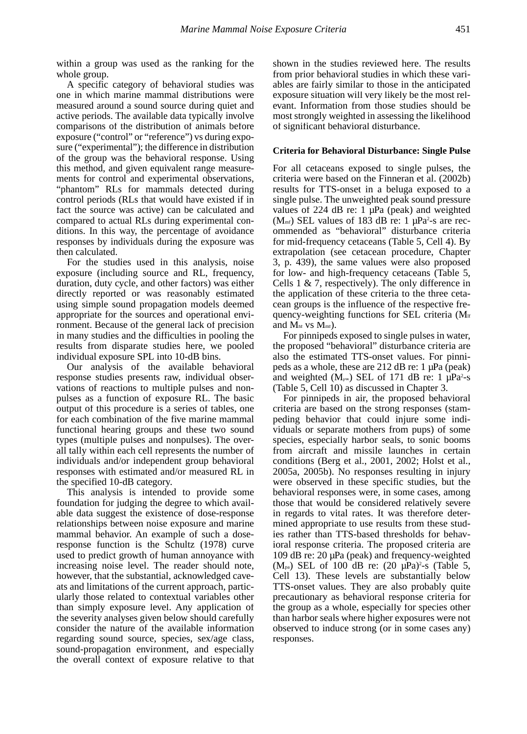within a group was used as the ranking for the whole group.

A specific category of behavioral studies was one in which marine mammal distributions were measured around a sound source during quiet and active periods. The available data typically involve comparisons of the distribution of animals before exposure ("control" or "reference") vs during exposure ("experimental"); the difference in distribution of the group was the behavioral response. Using this method, and given equivalent range measurements for control and experimental observations, "phantom" RLs for mammals detected during control periods (RLs that would have existed if in fact the source was active) can be calculated and compared to actual RLs during experimental conditions. In this way, the percentage of avoidance responses by individuals during the exposure was then calculated.

For the studies used in this analysis, noise exposure (including source and RL, frequency, duration, duty cycle, and other factors) was either directly reported or was reasonably estimated using simple sound propagation models deemed appropriate for the sources and operational environment. Because of the general lack of precision in many studies and the difficulties in pooling the results from disparate studies here, we pooled individual exposure SPL into 10-dB bins.

Our analysis of the available behavioral response studies presents raw, individual observations of reactions to multiple pulses and nonpulses as a function of exposure RL. The basic output of this procedure is a series of tables, one for each combination of the five marine mammal functional hearing groups and these two sound types (multiple pulses and nonpulses). The overall tally within each cell represents the number of individuals and/or independent group behavioral responses with estimated and/or measured RL in the specified 10-dB category.

This analysis is intended to provide some foundation for judging the degree to which available data suggest the existence of dose-response relationships between noise exposure and marine mammal behavior. An example of such a doseresponse function is the Schultz (1978) curve used to predict growth of human annoyance with increasing noise level. The reader should note, however, that the substantial, acknowledged caveats and limitations of the current approach, particularly those related to contextual variables other than simply exposure level. Any application of the severity analyses given below should carefully consider the nature of the available information regarding sound source, species, sex/age class, sound-propagation environment, and especially the overall context of exposure relative to that

shown in the studies reviewed here. The results from prior behavioral studies in which these variables are fairly similar to those in the anticipated exposure situation will very likely be the most relevant. Information from those studies should be most strongly weighted in assessing the likelihood of significant behavioral disturbance.

## **Criteria for Behavioral Disturbance: Single Pulse**

For all cetaceans exposed to single pulses, the criteria were based on the Finneran et al. (2002b) results for TTS-onset in a beluga exposed to a single pulse. The unweighted peak sound pressure values of 224 dB re:  $1 \mu Pa$  (peak) and weighted  $(M<sub>mf</sub>)$  SEL values of 183 dB re: 1  $\mu$ Pa<sup>2</sup>-s are recommended as "behavioral" disturbance criteria for mid-frequency cetaceans (Table 5, Cell 4). By extrapolation (see cetacean procedure, Chapter 3, p. 439), the same values were also proposed for low- and high-frequency cetaceans (Table 5, Cells 1 & 7, respectively). The only difference in the application of these criteria to the three cetacean groups is the influence of the respective frequency-weighting functions for SEL criteria (Mlf and  $M_{\text{hfl}}$  vs  $M_{\text{mf}}$ ).

For pinnipeds exposed to single pulses in water, the proposed "behavioral" disturbance criteria are also the estimated TTS-onset values. For pinnipeds as a whole, these are 212 dB re: 1 µPa (peak) and weighted  $(M_{\text{pw}})$  SEL of 171 dB re: 1  $\mu$ Pa<sup>2</sup>-s (Table 5, Cell 10) as discussed in Chapter 3.

For pinnipeds in air, the proposed behavioral criteria are based on the strong responses (stampeding behavior that could injure some individuals or separate mothers from pups) of some species, especially harbor seals, to sonic booms from aircraft and missile launches in certain conditions (Berg et al., 2001, 2002; Holst et al., 2005a, 2005b). No responses resulting in injury were observed in these specific studies, but the behavioral responses were, in some cases, among those that would be considered relatively severe in regards to vital rates. It was therefore determined appropriate to use results from these studies rather than TTS-based thresholds for behavioral response criteria. The proposed criteria are 109 dB re: 20 µPa (peak) and frequency-weighted  $(M_{pa})$  SEL of 100 dB re:  $(20 \mu Pa)^2$ -s (Table 5, Cell 13). These levels are substantially below TTS-onset values. They are also probably quite precautionary as behavioral response criteria for the group as a whole, especially for species other than harbor seals where higher exposures were not observed to induce strong (or in some cases any) responses.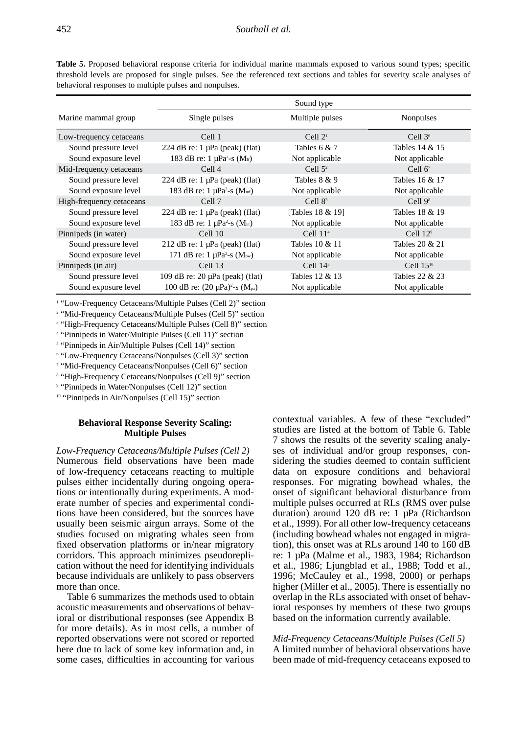**Table 5.** Proposed behavioral response criteria for individual marine mammals exposed to various sound types; specific threshold levels are proposed for single pulses. See the referenced text sections and tables for severity scale analyses of behavioral responses to multiple pulses and nonpulses.

|                          |                                                          | Sound type       |                   |
|--------------------------|----------------------------------------------------------|------------------|-------------------|
| Marine mammal group      | Single pulses                                            | Multiple pulses  | Nonpulses         |
| Low-frequency cetaceans  | Cell 1                                                   | Cell $21$        | Cell $36$         |
| Sound pressure level     | 224 dB re: $1 \mu Pa$ (peak) (flat)                      | Tables $6 & 7$   | Tables 14 & 15    |
| Sound exposure level     | 183 dB re: $1 \mu Pa^2$ -s (M <sub>if</sub> )            | Not applicable   | Not applicable    |
| Mid-frequency cetaceans  | Cell <sub>4</sub>                                        | Cell $5^2$       | Cell $6^7$        |
| Sound pressure level     | 224 dB re: $1 \mu Pa$ (peak) (flat)                      | Tables 8 & 9     | Tables 16 & 17    |
| Sound exposure level     | 183 dB re: $1 \mu Pa^2$ -s (M <sub>mf</sub> )            | Not applicable   | Not applicable    |
| High-frequency cetaceans | Cell 7                                                   | Cell $83$        | Cell $98$         |
| Sound pressure level     | 224 dB re: $1 \mu Pa$ (peak) (flat)                      | [Tables 18 & 19] | Tables 18 & 19    |
| Sound exposure level     | 183 dB re: 1 $\mu$ Pa <sup>2</sup> -s (M <sub>hf</sub> ) | Not applicable   | Not applicable    |
| Pinnipeds (in water)     | Cell <sub>10</sub>                                       | Cell $114$       | Cell $12^{\circ}$ |
| Sound pressure level     | $212$ dB re: 1 µPa (peak) (flat)                         | Tables 10 & 11   | Tables 20 & 21    |
| Sound exposure level     | 171 dB re: $1 \mu Pa^2$ -s (M <sub>pw</sub> )            | Not applicable   | Not applicable    |
| Pinnipeds (in air)       | Cell 13                                                  | Cell $145$       | Cell $15^{10}$    |
| Sound pressure level     | 109 dB re: $20 \mu Pa$ (peak) (flat)                     | Tables 12 & 13   | Tables 22 & 23    |
| Sound exposure level     | 100 dB re: $(20 \mu Pa)^2$ -s $(M_{pa})$                 | Not applicable   | Not applicable    |

<sup>1</sup> "Low-Frequency Cetaceans/Multiple Pulses (Cell 2)" section

<sup>2</sup> "Mid-Frequency Cetaceans/Multiple Pulses (Cell 5)" section

<sup>3</sup> "High-Frequency Cetaceans/Multiple Pulses (Cell 8)" section

4 "Pinnipeds in Water/Multiple Pulses (Cell 11)" section

<sup>5</sup> "Pinnipeds in Air/Multiple Pulses (Cell 14)" section

6 "Low-Frequency Cetaceans/Nonpulses (Cell 3)" section

7 "Mid-Frequency Cetaceans/Nonpulses (Cell 6)" section

8 "High-Frequency Cetaceans/Nonpulses (Cell 9)" section

9 "Pinnipeds in Water/Nonpulses (Cell 12)" section

<sup>10</sup> "Pinnipeds in Air/Nonpulses (Cell 15)" section

## **Behavioral Response Severity Scaling: Multiple Pulses**

*Low-Frequency Cetaceans/Multiple Pulses (Cell 2)* Numerous field observations have been made of low-frequency cetaceans reacting to multiple pulses either incidentally during ongoing operations or intentionally during experiments. A moderate number of species and experimental conditions have been considered, but the sources have usually been seismic airgun arrays. Some of the studies focused on migrating whales seen from fixed observation platforms or in/near migratory corridors. This approach minimizes pseudoreplication without the need for identifying individuals because individuals are unlikely to pass observers more than once.

Table 6 summarizes the methods used to obtain acoustic measurements and observations of behavioral or distributional responses (see Appendix B for more details). As in most cells, a number of reported observations were not scored or reported here due to lack of some key information and, in some cases, difficulties in accounting for various contextual variables. A few of these "excluded" studies are listed at the bottom of Table 6. Table 7 shows the results of the severity scaling analyses of individual and/or group responses, considering the studies deemed to contain sufficient data on exposure conditions and behavioral responses. For migrating bowhead whales, the onset of significant behavioral disturbance from multiple pulses occurred at RLs (RMS over pulse duration) around 120 dB re: 1 uPa (Richardson et al., 1999). For all other low-frequency cetaceans (including bowhead whales not engaged in migration), this onset was at RLs around 140 to 160 dB re: 1 µPa (Malme et al., 1983, 1984; Richardson et al., 1986; Ljungblad et al., 1988; Todd et al., 1996; McCauley et al., 1998, 2000) or perhaps higher (Miller et al., 2005). There is essentially no overlap in the RLs associated with onset of behavioral responses by members of these two groups based on the information currently available.

## *Mid-Frequency Cetaceans/Multiple Pulses (Cell 5)* A limited number of behavioral observations have been made of mid-frequency cetaceans exposed to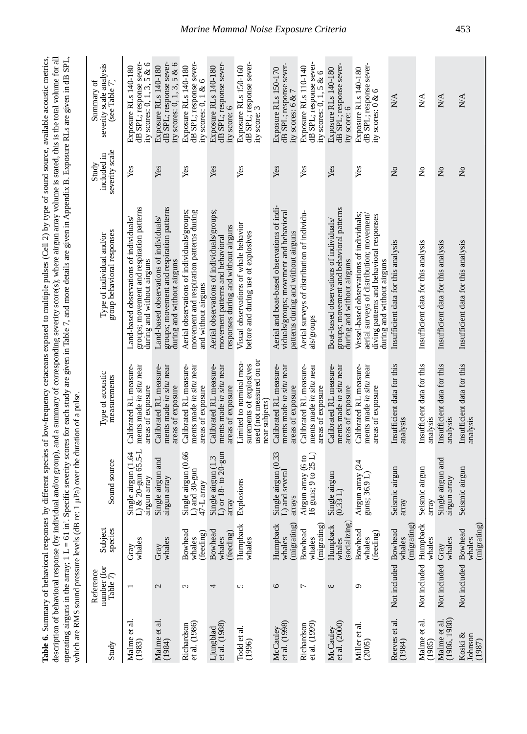| Study                          | number (for<br>Reference<br>Table 7) | Subject<br>species                    | Sound source                                                     | Type of acoustic<br>measurements                                                                 | group behavioral responses<br>Type of individual and/or                                                                                                          | severity scale<br>included in<br>Study | severity scale analysis<br>Summary of<br>(see Table $7$ )                          |
|--------------------------------|--------------------------------------|---------------------------------------|------------------------------------------------------------------|--------------------------------------------------------------------------------------------------|------------------------------------------------------------------------------------------------------------------------------------------------------------------|----------------------------------------|------------------------------------------------------------------------------------|
| Malme et al.<br>(1983)         |                                      | whales<br>Gray                        | $L$ ) & 20-gun 65.5- $L$<br>Single airgun (1.64<br>airgun array  | Calibrated RL measure-<br>ments made in situ near<br>areas of exposure                           | groups; movement and respiration patterns<br>Land-based observations of individuals/<br>during and without airguns                                               | Yes                                    | dB SPL; response sever-<br>ity scores: $0, 1, 3, 5$ & $6$<br>Exposure RLs 140-180  |
| Malme et al.<br>(1984)         | 2                                    | whales<br>Gray                        | Single airgun and<br>airgun array                                | Calibrated RL measure-<br>ments made in situ near<br>areas of exposure                           | groups; movement and respiration patterns<br>Land-based observations of individuals/<br>during and without airguns                                               | Yes                                    | dB SPL; response sever-<br>ity scores: $0$ , 1, 3, 5 & 6<br>Exposure RLs 140-180   |
| Richardson<br>et al. (1986)    | 3                                    | <b>Bowhead</b><br>(feeding)<br>whales | Single airgun (0.66<br>$\overline{L}$ ) and 30-gun<br>47-L array | Calibrated RL measure-<br>ments made in situ near<br>areas of exposure                           | Aerial observations of individuals/groups;<br>movement and respiration patterns during<br>and without airguns                                                    | Yes                                    | dB SPL; response sever-<br>Exposure RLs 140-180<br>ity scores: $0, 1 \& 6$         |
| $et$ al. $(1988)$<br>Ljungblad | 4                                    | Bowhead<br>(feeding)<br>whales        | L) or $18-$ to $20$ -gun<br>Single airgun (1.3<br>array          | Calibrated RL measure-<br>ments made in situ near<br>areas of exposure                           | Aerial observations of individuals/groups;<br>responses during and without airguns<br>movement patterns and behavioral                                           | Yes                                    | dB SPL; response sever-<br>Exposure RLs 140-180<br>ity score: 6                    |
| Todd et al.<br>(1996)          | 5                                    | Humpback<br>whales                    | Explosions                                                       | used (not measured on or<br>Limited to nominal mea-<br>surements of explosives<br>near subjects) | Visual observations of whale behavior<br>before and during use of explosives                                                                                     | Yes                                    | dB SPL; response sever-<br>Exposure RLs 150-160<br>ity score: 3                    |
| et al. (1998)<br>McCauley      | 9                                    | (migrating)<br>Humpback<br>whales     | Single airgun (0.33<br>L) and several<br>arrays                  | Calibrated RL measure-<br>ments made in situ near<br>areas of exposure                           | Aerial and boat-based observations of indi-<br>viduals/groups; movement and behavioral<br>patterns during and without airguns                                    | Yes                                    | dB SPL; response sever-<br>Exposure RLs 150-170<br>ity scores: 6 & 7               |
| et al. (1999)<br>Richardson    | 7                                    | (migrating)<br>Bowhead<br>whales      | $16$ guns; $9$ to $25$ L)<br>Airgun array (6 to                  | Calibrated RL measure-<br>ments made in situ near<br>areas of exposure                           | Aerial surveys of distribution of individu-<br>als/groups                                                                                                        | Yes                                    | dB SPL; response sever-<br>Exposure RLs 110-140<br>ity scores: $0$ , $1$ , $5 & 6$ |
| et al. (2000)<br>McCauley      | ${}^{\circ}$                         | (socializing)<br>Humpback<br>whales   | Single airgun $(0.33 \ L)$                                       | Calibrated RL measure-<br>ments made in situ near<br>areas of exposure                           | groups; movement and behavioral patterns<br>Boat-based observations of individuals/<br>during and without airguns                                                | Yes                                    | dB SPL; response sever-<br>Exposure RLs 140-180<br>ity score: 6                    |
| Miller et al.<br>(2005)        | ٥                                    | Bowhead<br>(feeding)<br>whales        | Airgun array (24<br>guns; $36.9 L$                               | Calibrated RL measure-<br>ments made in situ near<br>areas of exposure                           | Vessel-based observations of individuals;<br>aerial surveys of distribution; movement/<br>diving patterns and behavioral responses<br>during and without airguns | Yes                                    | dB SPL; response sever-<br>Exposure RLs 140-180<br>ity scores: 0 & 6               |
| Reeves et al.<br>(1984)        | Not included Bowhead                 | (migrating)<br>whales                 | Seismic airgun<br>array                                          | Insufficient data for this<br>analysis                                                           | Insufficient data for this analysis                                                                                                                              | $\tilde{z}$                            | $\frac{1}{2}$                                                                      |
| Malme et al.<br>(1985)         | Not included Humpback                | whales                                | Seismic airgun<br>array                                          | Insufficient data for this<br>analysis                                                           | Insufficient data for this analysis                                                                                                                              | $\tilde{z}$                            | $\mathbb{N}\mathbb{A}$                                                             |
| (1986, 1988)<br>Malme et al.   | Not included Gray                    | whales                                | Single airgun and<br>airgun array                                | Insufficient data for this<br>analysis                                                           | Insufficient data for this analysis                                                                                                                              | $\overline{\mathsf{z}}$                | $\frac{1}{2}$                                                                      |
| Koski &<br>Johnson<br>(1987)   | Not included Bowhead                 | (migrating)<br>whales                 | Seismic airgun                                                   | Insufficient data for this<br>analysis                                                           | Insufficient data for this analysis                                                                                                                              | $\overline{\mathsf{x}}$                | N/A                                                                                |

# *Marine Mammal Noise Exposure Criteria* 453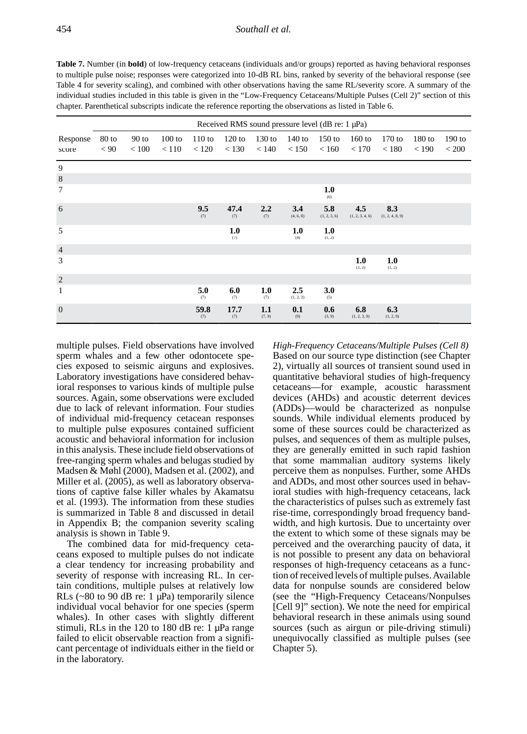**Table 7.** Number (in **bold**) of low-frequency cetaceans (individuals and/or groups) reported as having behavioral responses to multiple pulse noise; responses were categorized into 10-dB RL bins, ranked by severity of the behavioral response (see Table 4 for severity scaling), and combined with other observations having the same RL/severity score. A summary of the individual studies included in this table is given in the "Low-Frequency Cetaceans/Multiple Pulses (Cell 2)" section of this chapter. Parenthetical subscripts indicate the reference reporting the observations as listed in Table 6.

|                |       |         |          |             | Received RMS sound pressure level (dB re: $1 \mu Pa$ ) |               |                  |                     |                        |                        |          |          |
|----------------|-------|---------|----------|-------------|--------------------------------------------------------|---------------|------------------|---------------------|------------------------|------------------------|----------|----------|
| Response       | 80 to | $90$ to | $100$ to | 110 to      | $120$ to                                               | $130$ to      | $140$ to         | $150$ to            | $160$ to               | $170$ to               | $180$ to | $190$ to |
| score          | < 90  | < 100   | < 110    | < 120       | < 130                                                  | < 140         | < 150            | < 160               | < 170                  | < 180                  | < 190    | < 200    |
| 9              |       |         |          |             |                                                        |               |                  |                     |                        |                        |          |          |
| $\,8\,$        |       |         |          |             |                                                        |               |                  |                     |                        |                        |          |          |
| 7              |       |         |          |             |                                                        |               |                  | 1.0<br>(6)          |                        |                        |          |          |
| 6              |       |         |          | 9.5<br>(7)  | 47.4<br>(7)                                            | 2.2<br>(7)    | 3.4<br>(4, 6, 8) | 5.8<br>(1, 2, 3, 6) | 4.5<br>(1, 2, 3, 4, 6) | 8.3<br>(1, 2, 4, 8, 9) |          |          |
| 5              |       |         |          |             | 1.0<br>(7)                                             |               | 1.0<br>(4)       | 1.0<br>(1, 2)       |                        |                        |          |          |
| $\overline{4}$ |       |         |          |             |                                                        |               |                  |                     |                        |                        |          |          |
| 3              |       |         |          |             |                                                        |               |                  |                     | 1.0<br>(1, 2)          | 1.0<br>(1, 2)          |          |          |
| $\overline{2}$ |       |         |          |             |                                                        |               |                  |                     |                        |                        |          |          |
| $\mathbf{1}$   |       |         |          | 5.0<br>(7)  | 6.0<br>(7)                                             | 1.0<br>(7)    | 2.5<br>(1, 2, 3) | 3.0<br>(5)          |                        |                        |          |          |
| $\overline{0}$ |       |         |          | 59.8<br>(7) | 17.7<br>(7)                                            | 1.1<br>(7, 9) | 0.1<br>(9)       | 0.6<br>(3, 9)       | 6.8<br>(1, 2, 3, 9)    | 6.3<br>(1, 2, 9)       |          |          |

multiple pulses. Field observations have involved sperm whales and a few other odontocete species exposed to seismic airguns and explosives. Laboratory investigations have considered behavioral responses to various kinds of multiple pulse sources. Again, some observations were excluded due to lack of relevant information. Four studies of individual mid-frequency cetacean responses to multiple pulse exposures contained sufficient acoustic and behavioral information for inclusion in this analysis. These include field observations of free-ranging sperm whales and belugas studied by Madsen & Møhl (2000), Madsen et al. (2002), and Miller et al. (2005), as well as laboratory observations of captive false killer whales by Akamatsu et al. (1993). The information from these studies is summarized in Table 8 and discussed in detail in Appendix B; the companion severity scaling analysis is shown in Table 9.

The combined data for mid-frequency cetaceans exposed to multiple pulses do not indicate a clear tendency for increasing probability and severity of response with increasing RL. In certain conditions, multiple pulses at relatively low RLs  $(-80 \text{ to } 90 \text{ dB} \text{ re. } 1 \text{ µPa})$  temporarily silence individual vocal behavior for one species (sperm whales). In other cases with slightly different stimuli, RLs in the 120 to 180 dB re:  $1 \mu Pa$  range failed to elicit observable reaction from a significant percentage of individuals either in the field or in the laboratory.

*High-Frequency Cetaceans/Multiple Pulses (Cell 8)* Based on our source type distinction (see Chapter 2), virtually all sources of transient sound used in quantitative behavioral studies of high-frequency cetaceans—for example, acoustic harassment devices (AHDs) and acoustic deterrent devices (ADDs)—would be characterized as nonpulse sounds. While individual elements produced by some of these sources could be characterized as pulses, and sequences of them as multiple pulses, they are generally emitted in such rapid fashion that some mammalian auditory systems likely perceive them as nonpulses. Further, some AHDs and ADDs, and most other sources used in behavioral studies with high-frequency cetaceans, lack the characteristics of pulses such as extremely fast rise-time, correspondingly broad frequency bandwidth, and high kurtosis. Due to uncertainty over the extent to which some of these signals may be perceived and the overarching paucity of data, it is not possible to present any data on behavioral responses of high-frequency cetaceans as a function of received levels of multiple pulses. Available data for nonpulse sounds are considered below (see the "High-Frequency Cetaceans/Nonpulses [Cell 9]" section). We note the need for empirical behavioral research in these animals using sound sources (such as airgun or pile-driving stimuli) unequivocally classified as multiple pulses (see Chapter 5).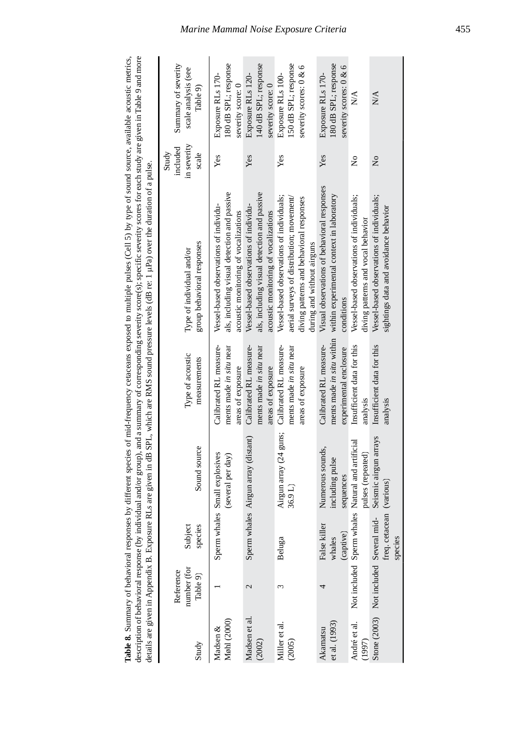| ses by different species of mid-frequency cetaceans exposed to multiple pulses (Cell 5) by type of sound source, available acoustic metrics, | dividual and/or group), and a summary of corresponding severity score(s); specific severity scores for each study are given in Table 9 and more | re RLs are given in dB SPL, which are RMS sound pressure levels (dB re: 1 µPa) over the duration of a pulse. |  |
|----------------------------------------------------------------------------------------------------------------------------------------------|-------------------------------------------------------------------------------------------------------------------------------------------------|--------------------------------------------------------------------------------------------------------------|--|
|                                                                                                                                              |                                                                                                                                                 |                                                                                                              |  |

| Study                     | number (for<br>Reference<br>Table 9)   | Subject<br>species                  | Sound source                                                          | Type of acoustic<br>measurements                                              | group behavioral responses<br>Type of individual and/or                                                                                                          | in severity<br>included<br>Study<br>scale | Summary of severity<br>scale analysis (see<br>Table 9)              |
|---------------------------|----------------------------------------|-------------------------------------|-----------------------------------------------------------------------|-------------------------------------------------------------------------------|------------------------------------------------------------------------------------------------------------------------------------------------------------------|-------------------------------------------|---------------------------------------------------------------------|
| Møhl (2000)<br>Madsen &   |                                        |                                     | Sperm whales Small explosives<br>(several per day)                    | Calibrated RL measure-<br>ments made in situ near<br>areas of exposure        | als, including visual detection and passive<br>Vessel-based observations of individu-<br>acoustic monitoring of vocalizations                                    | Yes                                       | 180 dB SPL; response<br>Exposure RLs 170-<br>severity score: 0      |
| Madsen et al<br>(2002)    | 2                                      |                                     | Sperm whales Airgun array (distant)                                   | Calibrated RL measure-<br>ments made in situ near<br>areas of exposure        | als, including visual detection and passive<br>Vessel-based observations of individu-<br>acoustic monitoring of vocalizations                                    | Yes                                       | 140 dB SPL; response<br>Exposure RLs 120-<br>severity score: 0      |
| Miller et al.<br>(2005)   | ω                                      | Beluga                              | Airgun array (24 guns;<br>36.9 L)                                     | Calibrated RL measure-<br>ments made in situ near<br>areas of exposure        | Vessel-based observations of individuals;<br>aerial surveys of distribution; movement/<br>diving patterns and behavioral responses<br>during and without airguns | Yes                                       | 150 dB SPL; response<br>severity scores: 0 & 6<br>Exposure RLs 100- |
| et al. (1993)<br>Akamatsu |                                        | False killer<br>(captive)<br>whales | Numerous sounds,<br>including pulse<br>sequences                      | ments made in situ within<br>Calibrated RL measure-<br>experimental enclosure | Visual observations of behavioral responses<br>within experimental context in laboratory<br>conditions                                                           | Yes                                       | 180 dB SPL; response<br>severity scores: 0 & 6<br>Exposure RLs 170- |
| André et al.<br>(1997)    |                                        |                                     | Not included Sperm whales Natural and artificial<br>pulses (repeated) | Insufficient data for this<br>analysis                                        | Vessel-based observations of individuals;<br>diving patterns and vocal behavior                                                                                  | ż                                         | $\stackrel{\triangle}{\geq}$                                        |
|                           | Stone (2003) Not included Several mid- | freq. cetacean (various)<br>species | Seismic airgun arrays                                                 | Insufficient data for this<br>analysis                                        | Vessel-based observations of individuals;<br>sightings data and avoidance behavior                                                                               | $\tilde{z}$                               | $\frac{1}{2}$                                                       |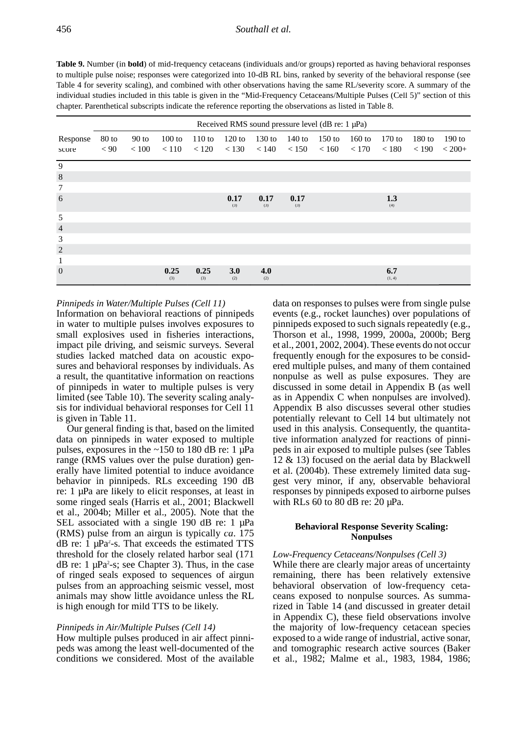**Table 9.** Number (in **bold**) of mid-frequency cetaceans (individuals and/or groups) reported as having behavioral responses to multiple pulse noise; responses were categorized into 10-dB RL bins, ranked by severity of the behavioral response (see Table 4 for severity scaling), and combined with other observations having the same RL/severity score. A summary of the individual studies included in this table is given in the "Mid-Frequency Cetaceans/Multiple Pulses (Cell 5)" section of this chapter. Parenthetical subscripts indicate the reference reporting the observations as listed in Table 8.

|                 |       |         |             |             |                   | Received RMS sound pressure level (dB re: 1 µPa) |             |                                 |          |               |          |          |
|-----------------|-------|---------|-------------|-------------|-------------------|--------------------------------------------------|-------------|---------------------------------|----------|---------------|----------|----------|
| Response        | 80 to | $90$ to | $100$ to    | $110$ to    | $120$ to          | $130$ to                                         | 140 to      | $150$ to                        | $160$ to | $170$ to      | $180$ to | $190$ to |
| score           | < 90  | < 100   | < 110       |             | $< 120 \le 130$   |                                                  |             | $< 140$ $< 150$ $< 160$ $< 170$ |          | < 180         | < 190    | $< 200+$ |
| 9               |       |         |             |             |                   |                                                  |             |                                 |          |               |          |          |
| $\,8\,$         |       |         |             |             |                   |                                                  |             |                                 |          |               |          |          |
| $7\phantom{.0}$ |       |         |             |             |                   |                                                  |             |                                 |          |               |          |          |
| 6               |       |         |             |             | 0.17<br>(3)       | 0.17<br>(3)                                      | 0.17<br>(3) |                                 |          | 1.3<br>(4)    |          |          |
| 5               |       |         |             |             |                   |                                                  |             |                                 |          |               |          |          |
| $\overline{4}$  |       |         |             |             |                   |                                                  |             |                                 |          |               |          |          |
| 3               |       |         |             |             |                   |                                                  |             |                                 |          |               |          |          |
| $\overline{2}$  |       |         |             |             |                   |                                                  |             |                                 |          |               |          |          |
| 1               |       |         |             |             |                   |                                                  |             |                                 |          |               |          |          |
| $\overline{0}$  |       |         | 0.25<br>(3) | 0.25<br>(3) | <b>3.0</b><br>(2) | 4.0<br>(2)                                       |             |                                 |          | 6.7<br>(1, 4) |          |          |

*Pinnipeds in Water/Multiple Pulses (Cell 11)*

Information on behavioral reactions of pinnipeds in water to multiple pulses involves exposures to small explosives used in fisheries interactions, impact pile driving, and seismic surveys. Several studies lacked matched data on acoustic exposures and behavioral responses by individuals. As a result, the quantitative information on reactions of pinnipeds in water to multiple pulses is very limited (see Table 10). The severity scaling analysis for individual behavioral responses for Cell 11 is given in Table 11.

Our general finding is that, based on the limited data on pinnipeds in water exposed to multiple pulses, exposures in the  $\sim$ 150 to 180 dB re: 1  $\mu$ Pa range (RMS values over the pulse duration) generally have limited potential to induce avoidance behavior in pinnipeds. RLs exceeding 190 dB re: 1 µPa are likely to elicit responses, at least in some ringed seals (Harris et al., 2001; Blackwell et al., 2004b; Miller et al., 2005). Note that the SEL associated with a single 190 dB re: 1  $\mu$ Pa (RMS) pulse from an airgun is typically *ca*. 175  $dB$  re: 1  $\mu Pa^2$ -s. That exceeds the estimated TTS threshold for the closely related harbor seal (171  $dB$  re: 1  $\mu$ Pa<sup>2</sup>-s; see Chapter 3). Thus, in the case of ringed seals exposed to sequences of airgun pulses from an approaching seismic vessel, most animals may show little avoidance unless the RL is high enough for mild TTS to be likely.

## *Pinnipeds in Air/Multiple Pulses (Cell 14)*

How multiple pulses produced in air affect pinnipeds was among the least well-documented of the conditions we considered. Most of the available data on responses to pulses were from single pulse events (e.g., rocket launches) over populations of pinnipeds exposed to such signals repeatedly (e.g., Thorson et al., 1998, 1999, 2000a, 2000b; Berg et al., 2001, 2002, 2004). These events do not occur frequently enough for the exposures to be considered multiple pulses, and many of them contained nonpulse as well as pulse exposures. They are discussed in some detail in Appendix B (as well as in Appendix C when nonpulses are involved). Appendix B also discusses several other studies potentially relevant to Cell 14 but ultimately not used in this analysis. Consequently, the quantitative information analyzed for reactions of pinnipeds in air exposed to multiple pulses (see Tables 12 & 13) focused on the aerial data by Blackwell et al. (2004b). These extremely limited data suggest very minor, if any, observable behavioral responses by pinnipeds exposed to airborne pulses with RLs  $60$  to  $80$  dB re:  $20 \mu Pa$ .

## **Behavioral Response Severity Scaling: Nonpulses**

## *Low-Frequency Cetaceans/Nonpulses (Cell 3)*

While there are clearly major areas of uncertainty remaining, there has been relatively extensive behavioral observation of low-frequency cetaceans exposed to nonpulse sources. As summarized in Table 14 (and discussed in greater detail in Appendix C), these field observations involve the majority of low-frequency cetacean species exposed to a wide range of industrial, active sonar, and tomographic research active sources (Baker et al., 1982; Malme et al., 1983, 1984, 1986;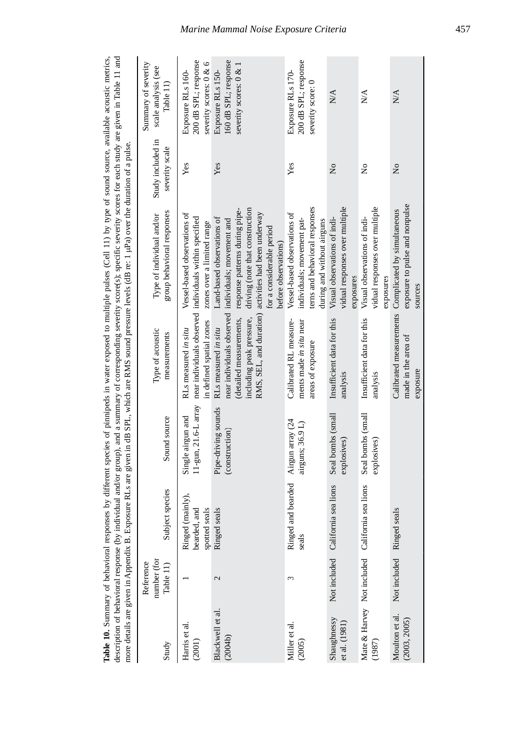| description of behavioral response (by in- |                                       |                                                   |                                           |                                                                                                          | dividual and/or group), and a summary of corresponding severity score(s); specific severity scores for each study are given in Table 11 and<br>Table 10. Summary of behavioral responses by different species of pimipeds in water exposed to multiple pulses (Cell 11) by type of sound source, available acoustic metrics,<br>more details are given in Appendix B. Exposure RLs are given in dB SPL, which are RMS sound pressure levels (dB re: 1 µPa) over the duration of a pulse |                                     |                                                                     |
|--------------------------------------------|---------------------------------------|---------------------------------------------------|-------------------------------------------|----------------------------------------------------------------------------------------------------------|-----------------------------------------------------------------------------------------------------------------------------------------------------------------------------------------------------------------------------------------------------------------------------------------------------------------------------------------------------------------------------------------------------------------------------------------------------------------------------------------|-------------------------------------|---------------------------------------------------------------------|
| Study                                      | number (for<br>Reference<br>Table 11) | Subject species                                   | Sound source                              | Type of acoustic<br>measurements                                                                         | group behavioral responses<br>Type of individual and/or                                                                                                                                                                                                                                                                                                                                                                                                                                 | Study included in<br>severity scale | Summary of severity<br>scale analysis (see<br>Table 11)             |
| Harris et al.<br>(2001)                    |                                       | Ringed (mainly),<br>spotted seals<br>bearded, and | 11-gun, 21.6-L array<br>Single airgun and | in defined spatial zones<br>RLs measured in situ                                                         | Vessel-based observations of<br>near individuals observed individuals within specified<br>zones over a limited range                                                                                                                                                                                                                                                                                                                                                                    | Yes                                 | 200 dB SPL; response<br>severity scores: 0 & 6<br>Exposure RLs 160- |
| Blackwell et al.<br>(2004b)                | 2                                     | seals<br>Ringed                                   | Pipe-driving sounds<br>(construction)     | near individuals observed<br>including peak pressure,<br>(detailed measurements,<br>RLs measured in situ | driving (note that construction<br>response patterns during pipe-<br>RMS, SEL, and duration) activities had been underway<br>Land-based observations of<br>individuals; movement and<br>for a considerable period<br>before observations)                                                                                                                                                                                                                                               | Yes                                 | 160 dB SPL; response<br>severity scores: 0 & 1<br>Exposure RLs 150- |
| Miller et al.<br>(2005)                    | 3                                     | and bearded<br>Ringed<br>seals                    | Airgun array (24<br>airguns; 36.9 L)      | Calibrated RL measure-<br>ments made in situ near<br>areas of exposure                                   | terns and behavioral responses<br>Vessel-based observations of<br>individuals; movement pat-<br>during and without airguns                                                                                                                                                                                                                                                                                                                                                              | Yes                                 | 200 dB SPL; response<br>Exposure RLs 170-<br>severity score: 0      |
| Shaughnessy<br>et al. (1981)               | Not included                          | nia sea lions<br>Californ                         | Seal bombs (small<br>explosives)          | Insufficient data for this<br>analysis                                                                   | vidual responses over multiple<br>Visual observations of indi-<br>exposures                                                                                                                                                                                                                                                                                                                                                                                                             | $\tilde{z}$                         | $\stackrel{\triangle}{N}$                                           |
| (1987)                                     |                                       | Mate & Harvey Not included California sea lions   | Seal bombs (small<br>explosives)          | Insufficient data for this<br>analysis                                                                   | vidual responses over multiple<br>Visual observations of indi-<br>exposures                                                                                                                                                                                                                                                                                                                                                                                                             | Ş                                   | N/A                                                                 |
| Moulton et al.<br>(2003, 2005)             | Not included Ringed                   | seals                                             |                                           | made in the area of<br>exposure                                                                          | exposure to pulse and nonpulse<br>Calibrated measurements Complicated by simultaneous<br>sources                                                                                                                                                                                                                                                                                                                                                                                        | $\tilde{z}$                         | N/A                                                                 |

*Marine Mammal Noise Exposure Criteria* 457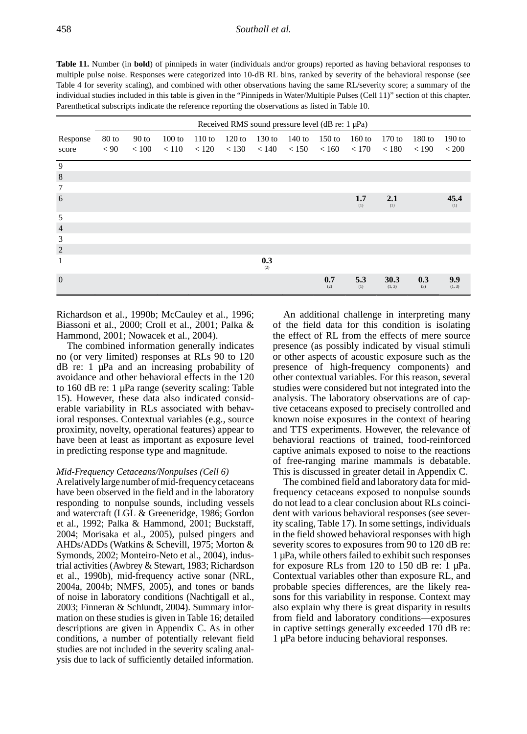**Table 11.** Number (in **bold**) of pinnipeds in water (individuals and/or groups) reported as having behavioral responses to multiple pulse noise. Responses were categorized into 10-dB RL bins, ranked by severity of the behavioral response (see Table 4 for severity scaling), and combined with other observations having the same RL/severity score; a summary of the individual studies included in this table is given in the "Pinnipeds in Water/Multiple Pulses (Cell 11)" section of this chapter. Parenthetical subscripts indicate the reference reporting the observations as listed in Table 10.

|                |       |         |          |          |          | Received RMS sound pressure level (dB re: $1 \mu Pa$ ) |          |            |            |                |            |               |
|----------------|-------|---------|----------|----------|----------|--------------------------------------------------------|----------|------------|------------|----------------|------------|---------------|
| Response       | 80 to | $90$ to | $100$ to | $110$ to | $120$ to | $130$ to                                               | $140$ to | $150$ to   | $160$ to   | $170$ to       | $180$ to   | $190$ to      |
| score          | < 90  | < 100   | < 110    | < 120    | < 130    | < 140                                                  | < 150    | < 160      | < 170      | < 180          | < 190      | < 200         |
| 9              |       |         |          |          |          |                                                        |          |            |            |                |            |               |
| $\,8\,$        |       |         |          |          |          |                                                        |          |            |            |                |            |               |
| $\tau$         |       |         |          |          |          |                                                        |          |            |            |                |            |               |
| 6              |       |         |          |          |          |                                                        |          |            | 1.7<br>(1) | 2.1<br>(1)     |            | 45.4<br>(1)   |
| 5              |       |         |          |          |          |                                                        |          |            |            |                |            |               |
| $\overline{4}$ |       |         |          |          |          |                                                        |          |            |            |                |            |               |
| 3              |       |         |          |          |          |                                                        |          |            |            |                |            |               |
| $\sqrt{2}$     |       |         |          |          |          |                                                        |          |            |            |                |            |               |
| 1              |       |         |          |          |          | 0.3<br>(2)                                             |          |            |            |                |            |               |
| $\overline{0}$ |       |         |          |          |          |                                                        |          | 0.7<br>(2) | 5.3<br>(1) | 30.3<br>(1, 3) | 0.3<br>(3) | 9.9<br>(1, 3) |

Richardson et al., 1990b; McCauley et al., 1996; Biassoni et al., 2000; Croll et al., 2001; Palka & Hammond, 2001; Nowacek et al., 2004).

The combined information generally indicates no (or very limited) responses at RLs 90 to 120 dB re: 1 µPa and an increasing probability of avoidance and other behavioral effects in the 120 to 160 dB re: 1 µPa range (severity scaling: Table 15). However, these data also indicated considerable variability in RLs associated with behavioral responses. Contextual variables (e.g., source proximity, novelty, operational features) appear to have been at least as important as exposure level in predicting response type and magnitude.

## *Mid-Frequency Cetaceans/Nonpulses (Cell 6)*

A relatively large number of mid-frequency cetaceans have been observed in the field and in the laboratory responding to nonpulse sounds, including vessels and watercraft (LGL & Greeneridge, 1986; Gordon et al., 1992; Palka & Hammond, 2001; Buckstaff, 2004; Morisaka et al., 2005), pulsed pingers and AHDs/ADDs (Watkins & Schevill, 1975; Morton & Symonds, 2002; Monteiro-Neto et al., 2004), industrial activities (Awbrey & Stewart, 1983; Richardson et al., 1990b), mid-frequency active sonar (NRL, 2004a, 2004b; NMFS, 2005), and tones or bands of noise in laboratory conditions (Nachtigall et al., 2003; Finneran & Schlundt, 2004). Summary information on these studies is given in Table 16; detailed descriptions are given in Appendix C. As in other conditions, a number of potentially relevant field studies are not included in the severity scaling analysis due to lack of sufficiently detailed information.

An additional challenge in interpreting many of the field data for this condition is isolating the effect of RL from the effects of mere source presence (as possibly indicated by visual stimuli or other aspects of acoustic exposure such as the presence of high-frequency components) and other contextual variables. For this reason, several studies were considered but not integrated into the analysis. The laboratory observations are of captive cetaceans exposed to precisely controlled and known noise exposures in the context of hearing and TTS experiments. However, the relevance of behavioral reactions of trained, food-reinforced captive animals exposed to noise to the reactions of free-ranging marine mammals is debatable. This is discussed in greater detail in Appendix C.

The combined field and laboratory data for midfrequency cetaceans exposed to nonpulse sounds do not lead to a clear conclusion about RLs coincident with various behavioral responses (see severity scaling, Table 17). In some settings, individuals in the field showed behavioral responses with high severity scores to exposures from 90 to 120 dB re: 1 µPa, while others failed to exhibit such responses for exposure RLs from 120 to 150 dB re: 1 µPa. Contextual variables other than exposure RL, and probable species differences, are the likely reasons for this variability in response. Context may also explain why there is great disparity in results from field and laboratory conditions—exposures in captive settings generally exceeded 170 dB re: 1 µPa before inducing behavioral responses.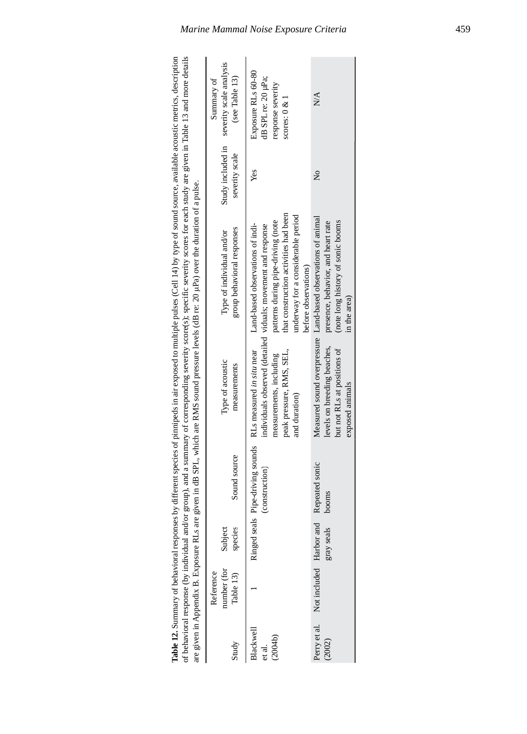|                                |                                       |                    |                         |                                                                                                                                    | of behavioral response (by individual and/or group), and a summary of corresponding severity score(s); specific severity scores for each study are given in Table 13 and more details<br>are given in Appendix B. Exposure RLs are given in dB SPL, which are RMS sound pressure levels (dB re: 20 µPa) over the duration of a pulse. |                                     |                                                                                  |
|--------------------------------|---------------------------------------|--------------------|-------------------------|------------------------------------------------------------------------------------------------------------------------------------|---------------------------------------------------------------------------------------------------------------------------------------------------------------------------------------------------------------------------------------------------------------------------------------------------------------------------------------|-------------------------------------|----------------------------------------------------------------------------------|
| Study                          | number (for<br>Reference<br>Table 13) | Subject<br>species | Sound source            | Type of acoustic<br>measurements                                                                                                   | group behavioral responses<br>Type of individual and/or                                                                                                                                                                                                                                                                               | Study included in<br>severity scale | severity scale analysis<br>(see Table 13)<br>Summary of                          |
| Blackwell<br>(2004b)<br>et al. |                                       |                    | (construction)          | Ringed seals Pipe-driving sounds RLs measured in situ near<br>peak pressure, RMS, SEL,<br>measurements, including<br>and duration) | that construction activities had been<br>underway for a considerable period<br>patterns during pipe-driving (note<br>Land-based observations of indi-<br>individuals observed (detailed viduals; movement and response<br>before observations)                                                                                        | Yes                                 | Exposure RLs 60-80<br>dB SPL re: 20 µPa;<br>response severity<br>scores: $0 & 1$ |
| Perry et al.<br>(2002)         | Not included Harbor and               | gray seals         | Repeated sonic<br>booms | levels on breeding beaches,<br>but not RLs at positions of<br>exposed animals                                                      | Measured sound overpressure Land-based observations of animal<br>(note long history of sonic booms<br>presence, behavior, and heart rate<br>in the area)                                                                                                                                                                              | $\frac{1}{2}$                       | N/A                                                                              |

Table 12. Summary of behavioral responses by different species of pinnipeds in air exposed to multiple pulses (Cell 14) by type of sound source, available acoustic metrics, description **Table 12.** Summary of behavioral responses by different species of pinnipeds in air exposed to multiple pulses (Cell 14) by type of sound source, available acoustic metrics, description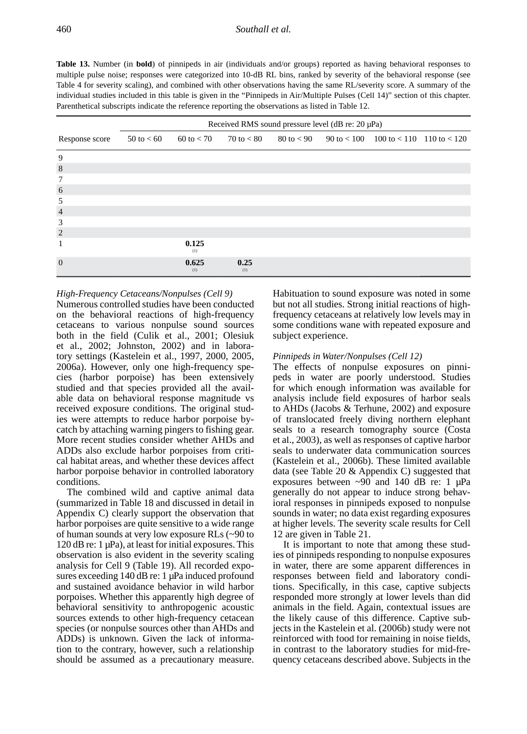**Table 13.** Number (in **bold**) of pinnipeds in air (individuals and/or groups) reported as having behavioral responses to multiple pulse noise; responses were categorized into 10-dB RL bins, ranked by severity of the behavioral response (see Table 4 for severity scaling), and combined with other observations having the same RL/severity score. A summary of the individual studies included in this table is given in the "Pinnipeds in Air/Multiple Pulses (Cell 14)" section of this chapter. Parenthetical subscripts indicate the reference reporting the observations as listed in Table 12.

|                |                |                     |             | Received RMS sound pressure level (dB re: 20 µPa) |                                                                                                               |  |
|----------------|----------------|---------------------|-------------|---------------------------------------------------|---------------------------------------------------------------------------------------------------------------|--|
| Response score | $50$ to $< 60$ | $60 \text{ to } 50$ |             |                                                   | $70 \text{ to} < 80$ $80 \text{ to} < 90$ $90 \text{ to} < 100$ $100 \text{ to} < 110$ $110 \text{ to} < 120$ |  |
| 9              |                |                     |             |                                                   |                                                                                                               |  |
| 8              |                |                     |             |                                                   |                                                                                                               |  |
| 7              |                |                     |             |                                                   |                                                                                                               |  |
| 6              |                |                     |             |                                                   |                                                                                                               |  |
| 5              |                |                     |             |                                                   |                                                                                                               |  |
| $\overline{4}$ |                |                     |             |                                                   |                                                                                                               |  |
| 3              |                |                     |             |                                                   |                                                                                                               |  |
| 2              |                |                     |             |                                                   |                                                                                                               |  |
| 1              |                | 0.125<br>(1)        |             |                                                   |                                                                                                               |  |
| $\Omega$       |                | 0.625<br>(1)        | 0.25<br>(1) |                                                   |                                                                                                               |  |

## *High-Frequency Cetaceans/Nonpulses (Cell 9)*

Numerous controlled studies have been conducted on the behavioral reactions of high-frequency cetaceans to various nonpulse sound sources both in the field (Culik et al., 2001; Olesiuk et al., 2002; Johnston, 2002) and in laboratory settings (Kastelein et al., 1997, 2000, 2005, 2006a). However, only one high-frequency species (harbor porpoise) has been extensively studied and that species provided all the available data on behavioral response magnitude vs received exposure conditions. The original studies were attempts to reduce harbor porpoise bycatch by attaching warning pingers to fishing gear. More recent studies consider whether AHDs and ADDs also exclude harbor porpoises from critical habitat areas, and whether these devices affect harbor porpoise behavior in controlled laboratory conditions.

The combined wild and captive animal data (summarized in Table 18 and discussed in detail in Appendix C) clearly support the observation that harbor porpoises are quite sensitive to a wide range of human sounds at very low exposure RLs (~90 to  $120$  dB re: 1  $\mu$ Pa), at least for initial exposures. This observation is also evident in the severity scaling analysis for Cell 9 (Table 19). All recorded exposures exceeding 140 dB re: 1 µPa induced profound and sustained avoidance behavior in wild harbor porpoises. Whether this apparently high degree of behavioral sensitivity to anthropogenic acoustic sources extends to other high-frequency cetacean species (or nonpulse sources other than AHDs and ADDs) is unknown. Given the lack of information to the contrary, however, such a relationship should be assumed as a precautionary measure.

Habituation to sound exposure was noted in some but not all studies. Strong initial reactions of highfrequency cetaceans at relatively low levels may in some conditions wane with repeated exposure and subject experience.

## *Pinnipeds in Water/Nonpulses (Cell 12)*

The effects of nonpulse exposures on pinnipeds in water are poorly understood. Studies for which enough information was available for analysis include field exposures of harbor seals to AHDs (Jacobs & Terhune, 2002) and exposure of translocated freely diving northern elephant seals to a research tomography source (Costa et al., 2003), as well as responses of captive harbor seals to underwater data communication sources (Kastelein et al., 2006b). These limited available data (see Table 20 & Appendix C) suggested that exposures between  $\sim 90$  and 140 dB re: 1  $\mu$ Pa generally do not appear to induce strong behavioral responses in pinnipeds exposed to nonpulse sounds in water; no data exist regarding exposures at higher levels. The severity scale results for Cell 12 are given in Table 21.

It is important to note that among these studies of pinnipeds responding to nonpulse exposures in water, there are some apparent differences in responses between field and laboratory conditions. Specifically, in this case, captive subjects responded more strongly at lower levels than did animals in the field. Again, contextual issues are the likely cause of this difference. Captive subjects in the Kastelein et al. (2006b) study were not reinforced with food for remaining in noise fields, in contrast to the laboratory studies for mid-frequency cetaceans described above. Subjects in the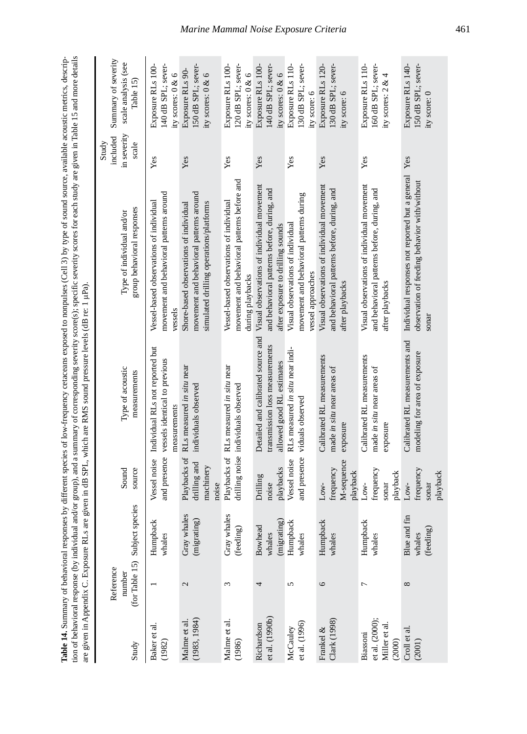| ses by different species of low-frequency cetaceans exposed to nonpulses (Cell 3) by type of sound source, available acoustic metrics, descrip- | and/or group), and a summary of corresponding severity score(s); specific severity scores for each study are given in Table 15 and more details |                                                                         |  |
|-------------------------------------------------------------------------------------------------------------------------------------------------|-------------------------------------------------------------------------------------------------------------------------------------------------|-------------------------------------------------------------------------|--|
|                                                                                                                                                 |                                                                                                                                                 | re given in dB SPL, which are RMS sound pressure levels (dB re: 1 µPa). |  |
|                                                                                                                                                 |                                                                                                                                                 |                                                                         |  |
|                                                                                                                                                 |                                                                                                                                                 |                                                                         |  |
|                                                                                                                                                 |                                                                                                                                                 |                                                                         |  |
|                                                                                                                                                 |                                                                                                                                                 |                                                                         |  |
|                                                                                                                                                 | へんこう                                                                                                                                            |                                                                         |  |

| Study                                                 | Reference<br>number | (for Table 15) Subject species          | Sound<br>source                                    | Type of acoustic<br>measurements                                                                  | group behavioral responses<br>Type of individual and/or                                                                        | in severity<br>included<br>Study<br>scale | Summary of severity<br>scale analysis (see<br>Table 15)        |
|-------------------------------------------------------|---------------------|-----------------------------------------|----------------------------------------------------|---------------------------------------------------------------------------------------------------|--------------------------------------------------------------------------------------------------------------------------------|-------------------------------------------|----------------------------------------------------------------|
| Baker et al.<br>(1982)                                |                     | Humpback<br>whales                      | Vessel noise                                       | Individual RLs not reported but<br>and presence vessels identical to previous<br>measurements     | movement and behavioral patterns around<br>Vessel-based observations of individual<br>vessels                                  | Yes                                       | Exposure RLs 100-<br>140 dB SPL; sever-<br>ity scores: 0 & 6   |
| (1983, 1984)<br>Malme et al                           | 2                   | Gray whales<br>(migrating)              | Playbacks of<br>drilling and<br>machinery<br>noise | RLs measured in situ near<br>individuals observed                                                 | movement and behavioral patterns around<br>simulated drilling operations/platforms<br>Shore-based observations of individual   | Yes                                       | 150 dB SPL; sever-<br>Exposure RLs 90-<br>ity scores: 0 & 6    |
| Malme et al.<br>(1986)                                | Σ                   | Gray whales<br>(feeding)                |                                                    | Playbacks of RLs measured in situ near<br>drilling noise individuals observed                     | movement and behavioral patterns before and<br>Vessel-based observations of individual<br>during playbacks                     | Yes                                       | Exposure RLs 100-<br>120 dB SPL; sever-<br>ity scores: 0 & 6   |
| et al. (1990b)<br>Richardson                          | 4                   | (migrating)<br><b>Bowhead</b><br>whales | playbacks<br>Drilling<br>noise                     | Detailed and calibrated source and<br>transmission loss measurements<br>allowed good RL estimates | Visual observations of individual movement<br>and behavioral patterns before, during, and<br>after exposure to drilling sounds | Yes                                       | Exposure RLs 100-<br>140 dB SPL; sever-<br>ity scores: 0 & 6   |
| et al. (1996)<br>McCauley                             | 5                   | Humpback<br>whales                      | and presence<br>Vessel noise                       | RLs measured in situ near indi-<br>viduals observed                                               | movement and behavioral patterns during<br>Visual observations of individual<br>vessel approaches                              | Yes                                       | Exposure RLs 110-<br>130 dB SPL; sever-<br>ity score: 6        |
| Clark (1998)<br>Frankel &                             | $\circ$             | Humpback<br>whales                      | M-sequence<br>frequency<br>playback<br>Low-        | Calibrated RL measurements<br>made in situ near areas of<br>exposure                              | Visual observations of individual movement<br>and behavioral patterns before, during, and<br>after playbacks                   | Yes                                       | 130 dB SPL; sever-<br>Exposure RLs 120-<br>ity score: 6        |
| et al. (2000);<br>Miller et al.<br>Biassoni<br>(2000) | 7                   | Humpback<br>whales                      | frequency<br>playback<br>sonar<br>Low-             | Calibrated RL measurements<br>made in situ near areas of<br>exposure                              | Visual observations of individual movement<br>and behavioral patterns before, during, and<br>after playbacks                   | Yes                                       | Exposure RLs 110-<br>160 dB SPL; sever-<br>ity scores: $2 & 4$ |
| Croll et al.<br>(2001)                                | $^{\circ}$          | Blue and fin<br>(feeding)<br>whales     | frequency<br>playback<br>Low-<br>sonar             | Calibrated RL measurements and<br>modeling for area of exposure                                   | Individual responses not reported but a general Yes<br>observation of feeding behavior with/without<br>sonar                   |                                           | Exposure RLs 140-<br>150 dB SPL; sever-<br>ity score: 0        |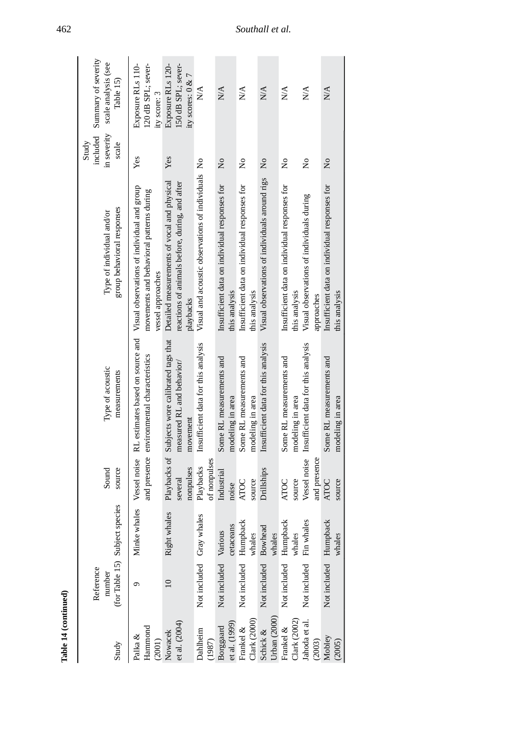| Table 14 (continued)         |                          |                                |                              |                                                                                          |                                                                                                                                               |                                           |                                                              |
|------------------------------|--------------------------|--------------------------------|------------------------------|------------------------------------------------------------------------------------------|-----------------------------------------------------------------------------------------------------------------------------------------------|-------------------------------------------|--------------------------------------------------------------|
| Study                        | Reference<br>number      | (for Table 15) Subject species | source<br>Sound              | Type of acoustic<br>measurements                                                         | group behavioral responses<br>Type of individual and/or                                                                                       | included<br>in severity<br>scale<br>Study | Summary of severity<br>scale analysis (see<br>Table 15)      |
| Hammond<br>Palka &<br>(2001) |                          | Minke whales                   | Vessel noise                 | and presence environmental characteristics                                               | RL estimates based on source and Visual observations of individual and group<br>movements and behavioral patterns during<br>vessel approaches | Yes                                       | Exposure RLs 110-<br>120 dB SPL; sever-<br>ity score: 3      |
| et al. (2004)<br>Nowacek     | $\overline{10}$          | Right whales                   | nonpulses<br>several         | Playbacks of Subjects wore calibrated tags that<br>measured RL and behavior/<br>movement | Detailed measurements of vocal and physical<br>reactions of animals before, during, and after<br>playbacks                                    | Yes                                       | Exposure RLs 120-<br>150 dB SPL; sever-<br>ity scores: 0 & 7 |
| Dahlheim<br>(1987)           | Not included Gray whales |                                | of nonpulses<br>Playbacks    | Insufficient data for this analysis                                                      | Visual and acoustic observations of individuals No                                                                                            |                                           | $\stackrel{\triangle}{\geq}$                                 |
| et al. (1999)<br>Borggaard   | Not included Various     | cetaceans                      | Industrial<br>noise          | Some RL measurements and<br>modeling in area                                             | Insufficient data on individual responses for<br>this analysis                                                                                | $\overline{\mathsf{x}}$                   | N/A                                                          |
| Clark (2000)<br>Frankel &    | Not included Humpback    | whales                         | source<br><b>ATOC</b>        | Some RL measurements and<br>modeling in area                                             | Insufficient data on individual responses for<br>this analysis                                                                                | $\mathsf{S}^{\mathsf{O}}$                 | N/A                                                          |
| Urban (2000)<br>Schick &     | Not included Bowhead     | whales                         | Drillships                   | Insufficient data for this analysis                                                      | Visual observations of individuals around rigs                                                                                                | $\mathsf{S}^{\mathsf{O}}$                 | $\mathbb{N}\mathbb{A}$                                       |
| Clark (2002)<br>Frankel &    | Not included Humpback    | whales                         | source<br><b>ATOC</b>        | Some RL measurements and<br>modeling in area                                             | Insufficient data on individual responses for<br>this analysis                                                                                | $\frac{1}{2}$                             | $\sum_{i=1}^{n}$                                             |
| Jahoda et al.<br>(2003)      | Not included Fin whales  |                                | Vessel noise<br>and presence | Insufficient data for this analysis                                                      | Visual observations of individuals during<br>approaches                                                                                       | $\frac{1}{2}$                             | N/A                                                          |
| Mobley<br>(2005)             | Not included Humpback    | whales                         | source<br><b>ATOC</b>        | Some RL measurements and<br>modeling in area                                             | Insufficient data on individual responses for<br>this analysis                                                                                | $\tilde{\mathbf{z}}$                      | N/A                                                          |

## 462 *Southall et al.*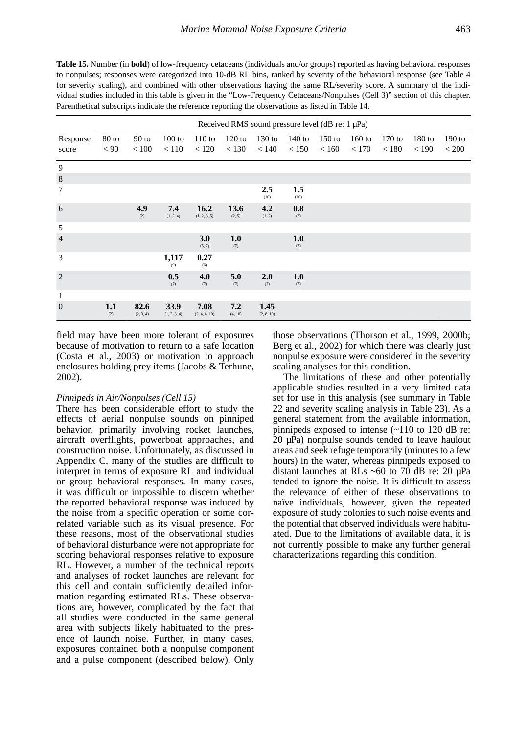**Table 15.** Number (in **bold**) of low-frequency cetaceans (individuals and/or groups) reported as having behavioral responses to nonpulses; responses were categorized into 10-dB RL bins, ranked by severity of the behavioral response (see Table 4 for severity scaling), and combined with other observations having the same RL/severity score. A summary of the individual studies included in this table is given in the "Low-Frequency Cetaceans/Nonpulses (Cell 3)" section of this chapter. Parenthetical subscripts indicate the reference reporting the observations as listed in Table 14.

|                   |                 |                   |                      |                       |                   |                    | Received RMS sound pressure level (dB re: $1 \mu Pa$ ) |                   |                   |                 |                   |                        |
|-------------------|-----------------|-------------------|----------------------|-----------------------|-------------------|--------------------|--------------------------------------------------------|-------------------|-------------------|-----------------|-------------------|------------------------|
| Response<br>score | $80$ to<br>< 90 | $90$ to<br>< 100  | 100 to<br>< 110      | 110 to<br>< 120       | $120$ to<br>< 130 | $130$ to<br>< 140  | $140$ to<br>< 150                                      | $150$ to<br>< 160 | $160$ to<br>< 170 | 170 to<br>< 180 | $180$ to<br>< 190 | 190 to<br>${}_{<}$ 200 |
| 9                 |                 |                   |                      |                       |                   |                    |                                                        |                   |                   |                 |                   |                        |
| $\,8\,$           |                 |                   |                      |                       |                   |                    |                                                        |                   |                   |                 |                   |                        |
| 7                 |                 |                   |                      |                       |                   | 2.5<br>(10)        | 1.5<br>(10)                                            |                   |                   |                 |                   |                        |
| 6                 |                 | 4.9<br>(2)        | 7.4<br>(1, 2, 4)     | 16.2<br>(1, 2, 3, 5)  | 13.6<br>(2, 5)    | 4.2<br>(1, 2)      | 0.8<br>(2)                                             |                   |                   |                 |                   |                        |
| 5                 |                 |                   |                      |                       |                   |                    |                                                        |                   |                   |                 |                   |                        |
| $\overline{4}$    |                 |                   |                      | 3.0<br>(5, 7)         | 1.0<br>(7)        |                    | 1.0<br>(7)                                             |                   |                   |                 |                   |                        |
| 3                 |                 |                   | 1,117<br>(9)         | 0.27<br>(6)           |                   |                    |                                                        |                   |                   |                 |                   |                        |
| 2                 |                 |                   | 0.5<br>(7)           | 4.0<br>(7)            | 5.0<br>(7)        | 2.0<br>(7)         | 1.0<br>(7)                                             |                   |                   |                 |                   |                        |
| 1                 |                 |                   |                      |                       |                   |                    |                                                        |                   |                   |                 |                   |                        |
| $\overline{0}$    | 1.1<br>(2)      | 82.6<br>(2, 3, 4) | 33.9<br>(1, 2, 3, 4) | 7.08<br>(2, 4, 6, 10) | 7.2<br>(4, 10)    | 1.45<br>(2, 8, 10) |                                                        |                   |                   |                 |                   |                        |

field may have been more tolerant of exposures because of motivation to return to a safe location (Costa et al., 2003) or motivation to approach enclosures holding prey items (Jacobs & Terhune, 2002).

## *Pinnipeds in Air/Nonpulses (Cell 15)*

There has been considerable effort to study the effects of aerial nonpulse sounds on pinniped behavior, primarily involving rocket launches, aircraft overflights, powerboat approaches, and construction noise. Unfortunately, as discussed in Appendix C, many of the studies are difficult to interpret in terms of exposure RL and individual or group behavioral responses. In many cases, it was difficult or impossible to discern whether the reported behavioral response was induced by the noise from a specific operation or some correlated variable such as its visual presence. For these reasons, most of the observational studies of behavioral disturbance were not appropriate for scoring behavioral responses relative to exposure RL. However, a number of the technical reports and analyses of rocket launches are relevant for this cell and contain sufficiently detailed information regarding estimated RLs. These observations are, however, complicated by the fact that all studies were conducted in the same general area with subjects likely habituated to the presence of launch noise. Further, in many cases, exposures contained both a nonpulse component and a pulse component (described below). Only those observations (Thorson et al., 1999, 2000b; Berg et al., 2002) for which there was clearly just nonpulse exposure were considered in the severity scaling analyses for this condition.

The limitations of these and other potentially applicable studies resulted in a very limited data set for use in this analysis (see summary in Table 22 and severity scaling analysis in Table 23). As a general statement from the available information, pinnipeds exposed to intense (~110 to 120 dB re:  $20 \mu Pa$ ) nonpulse sounds tended to leave haulout areas and seek refuge temporarily (minutes to a few hours) in the water, whereas pinnipeds exposed to distant launches at RLs ~60 to 70 dB re: 20 µPa tended to ignore the noise. It is difficult to assess the relevance of either of these observations to naïve individuals, however, given the repeated exposure of study colonies to such noise events and the potential that observed individuals were habituated. Due to the limitations of available data, it is not currently possible to make any further general characterizations regarding this condition.